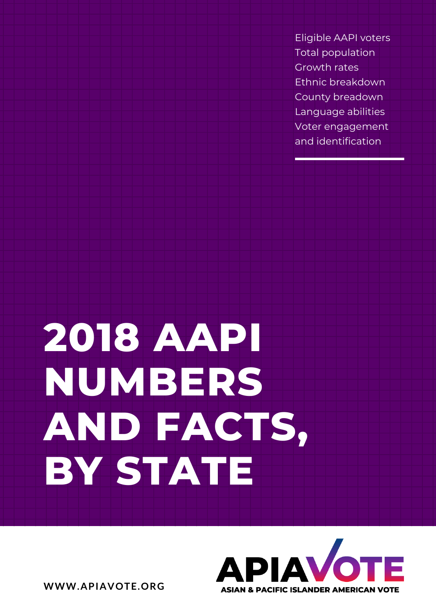Eligible AAPI voters Total population Growth rates Ethnic breakdown County breadown Language abilities Voter engagement and identification

# **2018 AAPI NUMBERS AND FACTS, BY STATE**



**WWW.APIAVOTE.ORG**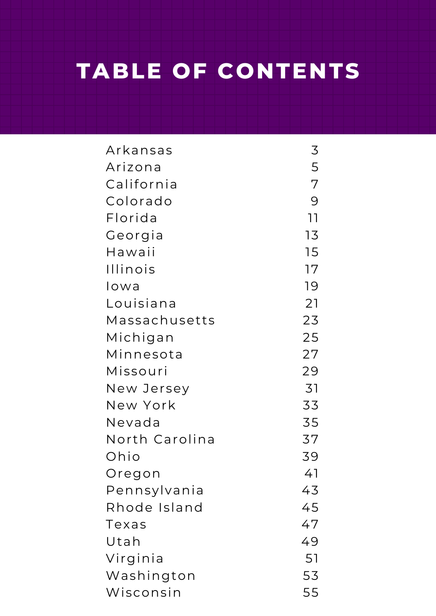## **OURCE TABLE OF CONTENTS**

**PERFORMANCE CONSUMING CONSUMING CONSUMING CONSUMING CONSUMING CONSUMING CONSUMING CONSUMING CONSUMING CONSUMING** Arkansas Ar izona California Colorado Flor ida Georgia Hawaii Illinois Iowa Louisiana Massachusetts Michigan Minnesota **Missouri** New Jersey New York Nevada North Carolina Ohio Oregon Pennsylvania Rhode Island Texas Utah Virginia Washington Wisconsin 3 5 7 9 11 13 15 17 19 21 23 25 27 29 31 33 35 37 39 41 43 45 47 49 51 53 55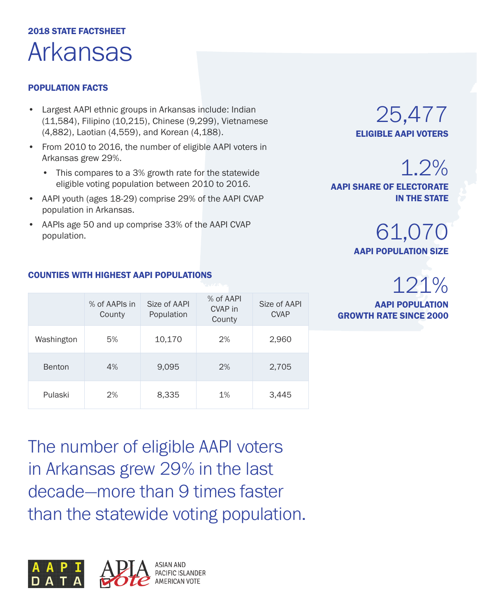## 2018 STATE FACTSHEET Arkansas

#### POPULATION FACTS

- Largest AAPI ethnic groups in Arkansas include: Indian (11,584), Filipino (10,215), Chinese (9,299), Vietnamese (4,882), Laotian (4,559), and Korean (4,188).
- From 2010 to 2016, the number of eligible AAPI voters in Arkansas grew 29%.
	- This compares to a 3% growth rate for the statewide eligible voting population between 2010 to 2016.
- AAPI youth (ages 18-29) comprise 29% of the AAPI CVAP population in Arkansas.
- AAPIs age 50 and up comprise 33% of the AAPI CVAP population.

### 25,477 ELIGIBLE AAPI VOTERS

1.2% AAPI SHARE OF ELECTORATE

IN THE STATE

61,070 AAPI POPULATION SIZE

## 121%

AAPI POPULATION GROWTH RATE SINCE 2000

|               | % of AAPIs in<br>County | Size of AAPI<br>Population | % of AAPI<br>CVAP in<br>County | Size of AAPI<br><b>CVAP</b> |
|---------------|-------------------------|----------------------------|--------------------------------|-----------------------------|
| Washington    | 5%                      | 10,170                     | 2%                             | 2,960                       |
| <b>Benton</b> | 4%                      | 9,095                      | 2%                             | 2,705                       |
| Pulaski       | 2%                      | 8,335                      | 1%                             | 3,445                       |

The number of eligible AAPI voters in Arkansas grew 29% in the last decade—more than 9 times faster than the statewide voting population.



#### COUNTIES WITH HIGHEST AAPI POPULATIONS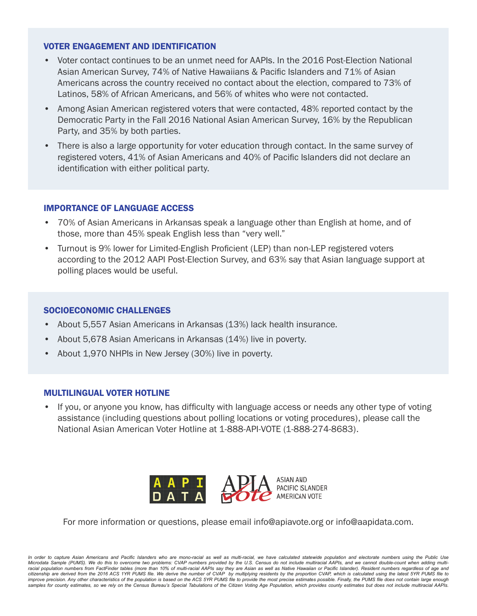- Voter contact continues to be an unmet need for AAPIs. In the 2016 Post-Election National Asian American Survey, 74% of Native Hawaiians & Pacific Islanders and 71% of Asian Americans across the country received no contact about the election, compared to 73% of Latinos, 58% of African Americans, and 56% of whites who were not contacted.
- Among Asian American registered voters that were contacted, 48% reported contact by the Democratic Party in the Fall 2016 National Asian American Survey, 16% by the Republican Party, and 35% by both parties.
- There is also a large opportunity for voter education through contact. In the same survey of registered voters, 41% of Asian Americans and 40% of Pacific Islanders did not declare an identification with either political party.

#### IMPORTANCE OF LANGUAGE ACCESS

- 70% of Asian Americans in Arkansas speak a language other than English at home, and of those, more than 45% speak English less than "very well."
- Turnout is 9% lower for Limited-English Proficient (LEP) than non-LEP registered voters according to the 2012 AAPI Post-Election Survey, and 63% say that Asian language support at polling places would be useful.

#### SOCIOECONOMIC CHALLENGES

- About 5,557 Asian Americans in Arkansas (13%) lack health insurance.
- About 5,678 Asian Americans in Arkansas (14%) live in poverty.
- About 1,970 NHPIs in New Jersey (30%) live in poverty.

#### MULTILINGUAL VOTER HOTLINE

• If you, or anyone you know, has difficulty with language access or needs any other type of voting assistance (including questions about polling locations or voting procedures), please call the National Asian American Voter Hotline at 1-888-API-VOTE (1-888-274-8683).



For more information or questions, please email info@apiavote.org or info@aapidata.com.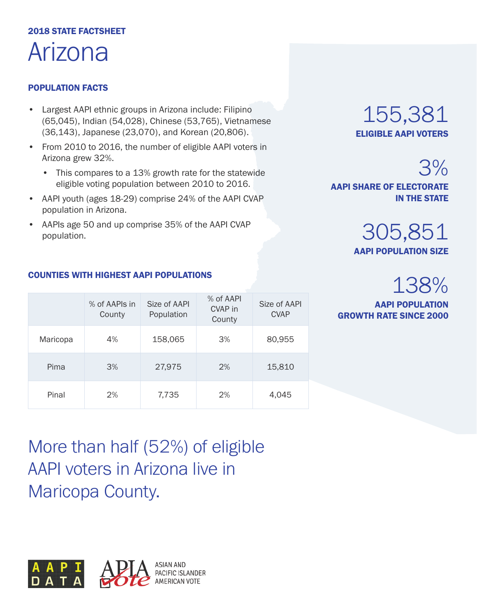## 2018 STATE FACTSHEET Arizona

#### POPULATION FACTS

- Largest AAPI ethnic groups in Arizona include: Filipino (65,045), Indian (54,028), Chinese (53,765), Vietnamese (36,143), Japanese (23,070), and Korean (20,806).
- From 2010 to 2016, the number of eligible AAPI voters in Arizona grew 32%.
	- This compares to a 13% growth rate for the statewide eligible voting population between 2010 to 2016.
- AAPI youth (ages 18-29) comprise 24% of the AAPI CVAP population in Arizona.
- AAPIs age 50 and up comprise 35% of the AAPI CVAP population.

### 155,381 ELIGIBLE AAPI VOTERS

305,851

AAPI SHARE OF ELECTORATE

AAPI POPULATION SIZE

## 138%

3%

IN THE STATE

AAPI POPULATION GROWTH RATE SINCE 2000

#### COUNTIES WITH HIGHEST AAPI POPULATIONS

|          | % of AAPIs in<br>County | Size of AAPI<br>Population | % of AAPI<br>CVAP in<br>County | Size of AAPI<br><b>CVAP</b> |
|----------|-------------------------|----------------------------|--------------------------------|-----------------------------|
| Maricopa | 4%                      | 158,065                    | 3%                             | 80,955                      |
| Pima     | 3%                      | 27,975                     | 2%                             | 15,810                      |
| Pinal    | 2%                      | 7,735                      | 2%                             | 4,045                       |

More than half (52%) of eligible AAPI voters in Arizona live in Maricopa County.

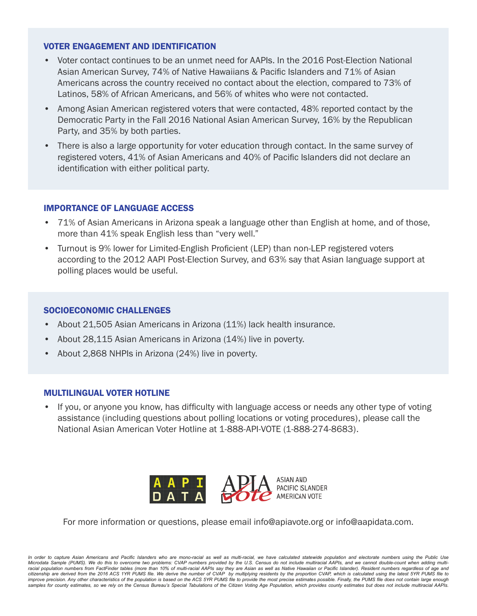- Voter contact continues to be an unmet need for AAPIs. In the 2016 Post-Election National Asian American Survey, 74% of Native Hawaiians & Pacific Islanders and 71% of Asian Americans across the country received no contact about the election, compared to 73% of Latinos, 58% of African Americans, and 56% of whites who were not contacted.
- Among Asian American registered voters that were contacted, 48% reported contact by the Democratic Party in the Fall 2016 National Asian American Survey, 16% by the Republican Party, and 35% by both parties.
- There is also a large opportunity for voter education through contact. In the same survey of registered voters, 41% of Asian Americans and 40% of Pacific Islanders did not declare an identification with either political party.

#### IMPORTANCE OF LANGUAGE ACCESS

- 71% of Asian Americans in Arizona speak a language other than English at home, and of those, more than 41% speak English less than "very well."
- Turnout is 9% lower for Limited-English Proficient (LEP) than non-LEP registered voters according to the 2012 AAPI Post-Election Survey, and 63% say that Asian language support at polling places would be useful.

#### SOCIOECONOMIC CHALLENGES

- About 21,505 Asian Americans in Arizona (11%) lack health insurance.
- About 28,115 Asian Americans in Arizona (14%) live in poverty.
- About 2,868 NHPIs in Arizona (24%) live in poverty.

#### MULTILINGUAL VOTER HOTLINE

• If you, or anyone you know, has difficulty with language access or needs any other type of voting assistance (including questions about polling locations or voting procedures), please call the National Asian American Voter Hotline at 1-888-API-VOTE (1-888-274-8683).



For more information or questions, please email info@apiavote.org or info@aapidata.com.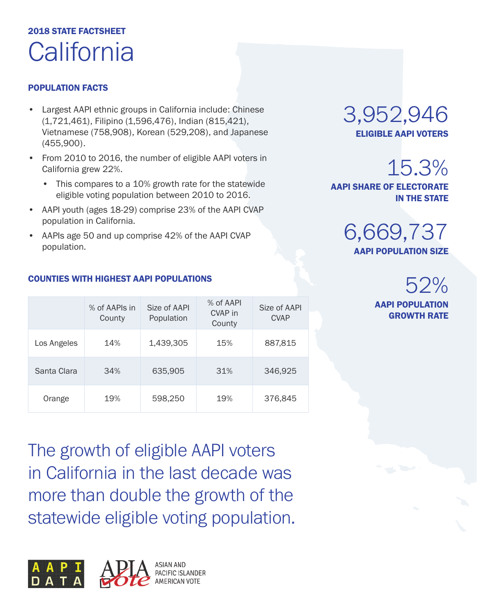## 2018 STATE FACTSHEET **California**

#### POPULATION FACTS

- Largest AAPI ethnic groups in California include: Chinese (1,721,461), Filipino (1,596,476), Indian (815,421), Vietnamese (758,908), Korean (529,208), and Japanese (455,900).
- From 2010 to 2016, the number of eligible AAPI voters in California grew 22%.
	- This compares to a 10% growth rate for the statewide eligible voting population between 2010 to 2016.
- AAPI youth (ages 18-29) comprise 23% of the AAPI CVAP population in California.
- AAPIs age 50 and up comprise 42% of the AAPI CVAP population.

#### COUNTIES WITH HIGHEST AAPI POPULATIONS

|             | % of AAPIs in<br>County | Size of AAPI<br>Population | % of AAPI<br>CVAP in<br>County | Size of AAPI<br><b>CVAP</b> |
|-------------|-------------------------|----------------------------|--------------------------------|-----------------------------|
| Los Angeles | 14%                     | 1,439,305                  | 15%                            | 887,815                     |
| Santa Clara | 34%                     | 635,905                    | 31%                            | 346,925                     |
| Orange      | 19%                     | 598,250                    | 19%                            | 376,845                     |

The growth of eligible AAPI voters in California in the last decade was more than double the growth of the statewide eligible voting population.



### 3,952,946 ELIGIBLE AAPI VOTERS

## 15.3%

AAPI SHARE OF ELECTORATE IN THE STATE

> 6,669,737 AAPI POPULATION SIZE

## 52%

AAPI POPULATION GROWTH RATE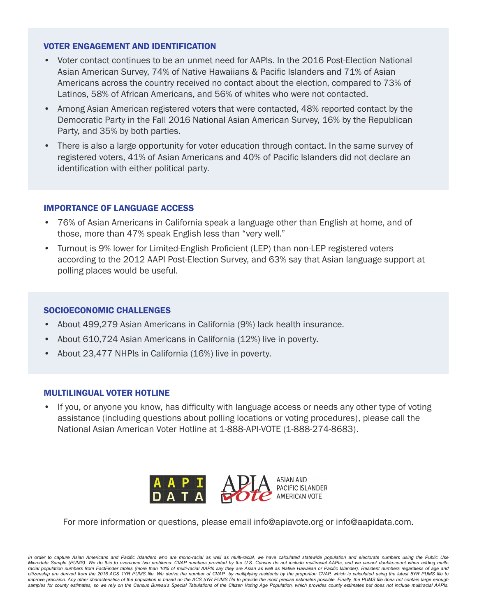- Voter contact continues to be an unmet need for AAPIs. In the 2016 Post-Election National Asian American Survey, 74% of Native Hawaiians & Pacific Islanders and 71% of Asian Americans across the country received no contact about the election, compared to 73% of Latinos, 58% of African Americans, and 56% of whites who were not contacted.
- Among Asian American registered voters that were contacted, 48% reported contact by the Democratic Party in the Fall 2016 National Asian American Survey, 16% by the Republican Party, and 35% by both parties.
- There is also a large opportunity for voter education through contact. In the same survey of registered voters, 41% of Asian Americans and 40% of Pacific Islanders did not declare an identification with either political party.

#### IMPORTANCE OF LANGUAGE ACCESS

- 76% of Asian Americans in California speak a language other than English at home, and of those, more than 47% speak English less than "very well."
- Turnout is 9% lower for Limited-English Proficient (LEP) than non-LEP registered voters according to the 2012 AAPI Post-Election Survey, and 63% say that Asian language support at polling places would be useful.

#### SOCIOECONOMIC CHALLENGES

- About 499,279 Asian Americans in California (9%) lack health insurance.
- About 610,724 Asian Americans in California (12%) live in poverty.
- About 23,477 NHPIs in California (16%) live in poverty.

#### MULTILINGUAL VOTER HOTLINE

• If you, or anyone you know, has difficulty with language access or needs any other type of voting assistance (including questions about polling locations or voting procedures), please call the National Asian American Voter Hotline at 1-888-API-VOTE (1-888-274-8683).



For more information or questions, please email info@apiavote.org or info@aapidata.com.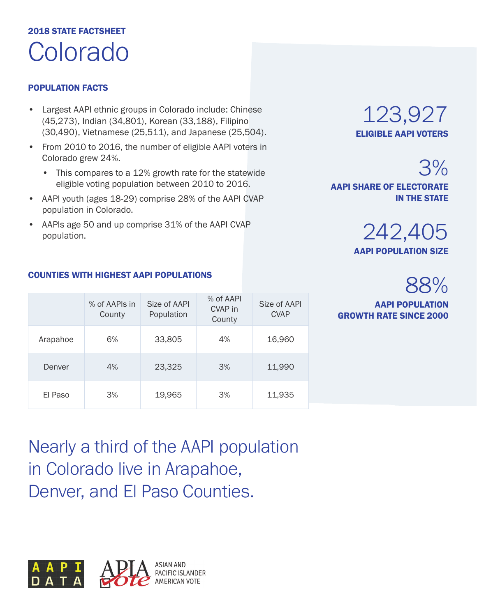## 2018 STATE FACTSHEET Colorado

#### POPULATION FACTS

- Largest AAPI ethnic groups in Colorado include: Chinese (45,273), Indian (34,801), Korean (33,188), Filipino (30,490), Vietnamese (25,511), and Japanese (25,504).
- From 2010 to 2016, the number of eligible AAPI voters in Colorado grew 24%.
	- This compares to a 12% growth rate for the statewide eligible voting population between 2010 to 2016.
- AAPI youth (ages 18-29) comprise 28% of the AAPI CVAP population in Colorado.
- AAPIs age 50 and up comprise 31% of the AAPI CVAP population.

### 123,927 ELIGIBLE AAPI VOTERS

3% AAPI SHARE OF ELECTORATE IN THE STATE



## 88%

AAPI POPULATION GROWTH RATE SINCE 2000

|          | % of AAPIs in<br>County | Size of AAPI<br>Population | % of AAPI<br>CVAP in<br>County | Size of AAPI<br><b>CVAP</b> |
|----------|-------------------------|----------------------------|--------------------------------|-----------------------------|
| Arapahoe | 6%                      | 33,805                     | 4%                             | 16,960                      |
| Denver   | 4%                      | 23,325                     | 3%                             | 11,990                      |
| El Paso  | 3%                      | 19,965                     | 3%                             | 11,935                      |

Nearly a third of the AAPI population in Colorado live in Arapahoe, Denver, and El Paso Counties.



#### COUNTIES WITH HIGHEST AAPI POPULATIONS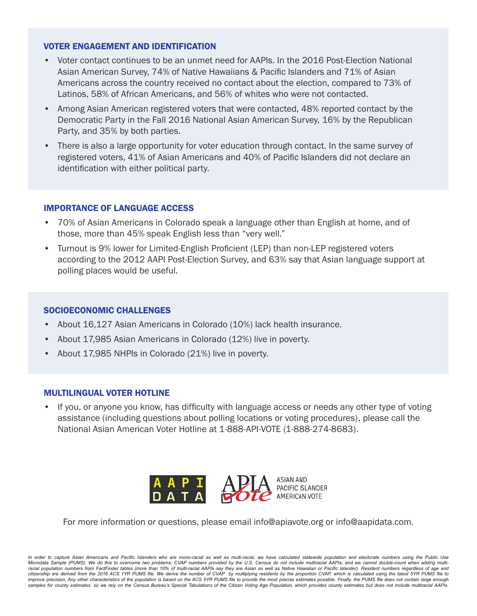- Voter contact continues to be an unmet need for AAPIs. In the 2016 Post-Election National Asian American Survey, 74% of Native Hawaiians & Pacific Islanders and 71% of Asian Americans across the country received no contact about the election, compared to 73% of Latinos, 58% of African Americans, and 56% of whites who were not contacted.
- Among Asian American registered voters that were contacted, 48% reported contact by the Democratic Party in the Fall 2016 National Asian American Survey, 16% by the Republican Party, and 35% by both parties.
- There is also a large opportunity for voter education through contact. In the same survey of registered voters, 41% of Asian Americans and 40% of Pacific Islanders did not declare an identification with either political party.

#### IMPORTANCE OF LANGUAGE ACCESS

- 70% of Asian Americans in Colorado speak a language other than English at home, and of those, more than 45% speak English less than "very well."
- Turnout is 9% lower for Limited-English Proficient (LEP) than non-LEP registered voters according to the 2012 AAPI Post-Election Survey, and 63% say that Asian language support at polling places would be useful.

#### SOCIOECONOMIC CHALLENGES

- About 16,127 Asian Americans in Colorado (10%) lack health insurance.
- About 17,985 Asian Americans in Colorado (12%) live in poverty.
- About 17,985 NHPIs in Colorado (21%) live in poverty.

#### MULTILINGUAL VOTER HOTLINE

• If you, or anyone you know, has difficulty with language access or needs any other type of voting assistance (including questions about polling locations or voting procedures), please call the National Asian American Voter Hotline at 1-888-API-VOTE (1-888-274-8683).



For more information or questions, please email info@apiavote.org or info@aapidata.com.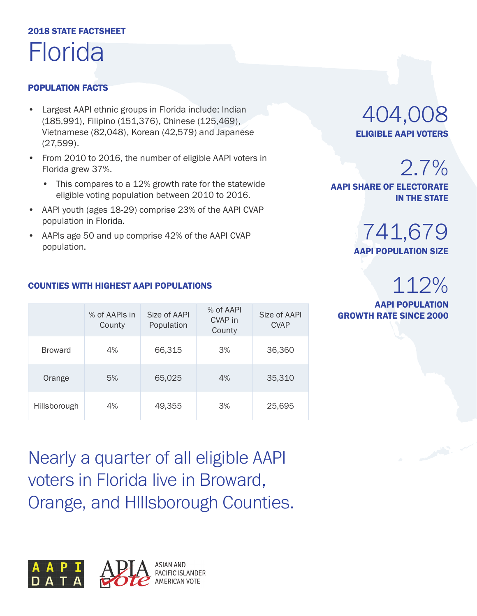## 2018 STATE FACTSHEET Florida

#### POPULATION FACTS

- Largest AAPI ethnic groups in Florida include: Indian (185,991), Filipino (151,376), Chinese (125,469), Vietnamese (82,048), Korean (42,579) and Japanese (27,599).
- From 2010 to 2016, the number of eligible AAPI voters in Florida grew 37%.
	- This compares to a 12% growth rate for the statewide eligible voting population between 2010 to 2016.
- AAPI youth (ages 18-29) comprise 23% of the AAPI CVAP population in Florida.
- AAPIs age 50 and up comprise 42% of the AAPI CVAP population.

### 404,008 ELIGIBLE AAPI VOTERS

2.7%

AAPI SHARE OF ELECTORATE IN THE STATE

### 741,679 AAPI POPULATION SIZE

## 112%

AAPI POPULATION **GROWTH RATE SINCE 2000** 

#### COUNTIES WITH HIGHEST AAPI POPULATIONS

|                | % of AAPIs in<br>County | Size of AAPI<br>Population | % of AAPI<br>CVAP in<br>County | Size of AAPI<br><b>CVAP</b> |
|----------------|-------------------------|----------------------------|--------------------------------|-----------------------------|
| <b>Broward</b> | 4%                      | 66,315                     | 3%                             | 36,360                      |
| Orange         | 5%                      | 65,025                     | 4%                             | 35,310                      |
| Hillsborough   | 4%                      | 49,355                     | 3%                             | 25,695                      |

Nearly a quarter of all eligible AAPI voters in Florida live in Broward, Orange, and HIllsborough Counties.

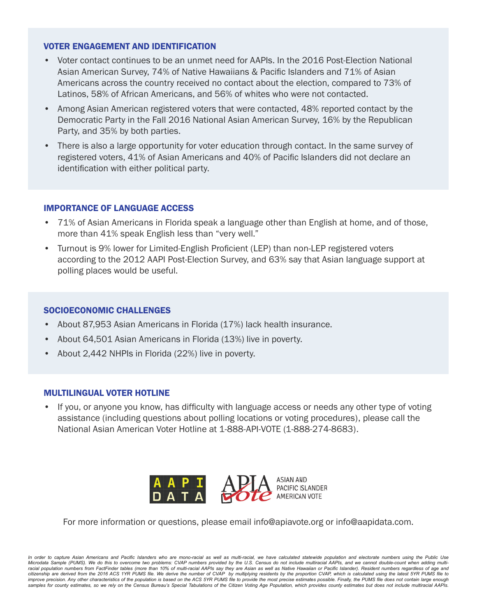- Voter contact continues to be an unmet need for AAPIs. In the 2016 Post-Election National Asian American Survey, 74% of Native Hawaiians & Pacific Islanders and 71% of Asian Americans across the country received no contact about the election, compared to 73% of Latinos, 58% of African Americans, and 56% of whites who were not contacted.
- Among Asian American registered voters that were contacted, 48% reported contact by the Democratic Party in the Fall 2016 National Asian American Survey, 16% by the Republican Party, and 35% by both parties.
- There is also a large opportunity for voter education through contact. In the same survey of registered voters, 41% of Asian Americans and 40% of Pacific Islanders did not declare an identification with either political party.

#### IMPORTANCE OF LANGUAGE ACCESS

- 71% of Asian Americans in Florida speak a language other than English at home, and of those, more than 41% speak English less than "very well."
- Turnout is 9% lower for Limited-English Proficient (LEP) than non-LEP registered voters according to the 2012 AAPI Post-Election Survey, and 63% say that Asian language support at polling places would be useful.

#### SOCIOECONOMIC CHALLENGES

- About 87,953 Asian Americans in Florida (17%) lack health insurance.
- About 64,501 Asian Americans in Florida (13%) live in poverty.
- About 2,442 NHPIs in Florida (22%) live in poverty.

#### MULTILINGUAL VOTER HOTLINE

• If you, or anyone you know, has difficulty with language access or needs any other type of voting assistance (including questions about polling locations or voting procedures), please call the National Asian American Voter Hotline at 1-888-API-VOTE (1-888-274-8683).



For more information or questions, please email info@apiavote.org or info@aapidata.com.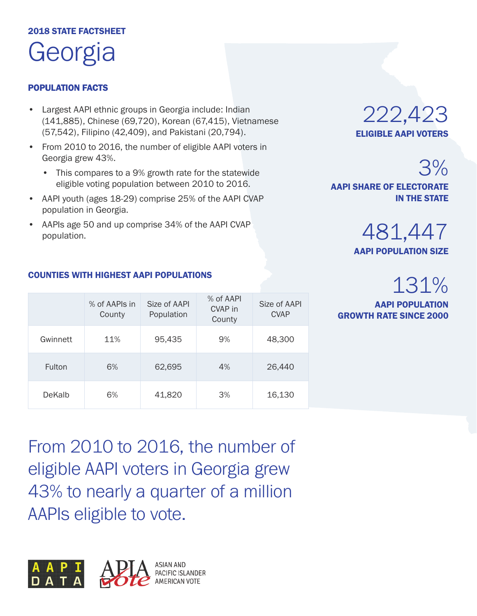## 2018 STATE FACTSHEET Georgia

#### POPULATION FACTS

- Largest AAPI ethnic groups in Georgia include: Indian (141,885), Chinese (69,720), Korean (67,415), Vietnamese (57,542), Filipino (42,409), and Pakistani (20,794).
- From 2010 to 2016, the number of eligible AAPI voters in Georgia grew 43%.
	- This compares to a 9% growth rate for the statewide eligible voting population between 2010 to 2016.
- AAPI youth (ages 18-29) comprise 25% of the AAPI CVAP population in Georgia.
- AAPIs age 50 and up comprise 34% of the AAPI CVAP population.



3% AAPI SHARE OF ELECTORATE IN THE STATE

> 481,447 AAPI POPULATION SIZE

## 131%

AAPI POPULATION GROWTH RATE SINCE 2000

|               | % of AAPIs in<br>County | Size of AAPI<br>Population | % of AAPI<br>CVAP in<br>County | Size of AAPI<br><b>CVAP</b> |
|---------------|-------------------------|----------------------------|--------------------------------|-----------------------------|
| Gwinnett      | 11%                     | 95,435                     | 9%                             | 48,300                      |
| <b>Fulton</b> | 6%                      | 62,695                     | 4%                             | 26,440                      |
| <b>DeKalb</b> | 6%                      | 41,820                     | 3%                             | 16,130                      |

#### COUNTIES WITH HIGHEST AAPI POPULATIONS

From 2010 to 2016, the number of eligible AAPI voters in Georgia grew 43% to nearly a quarter of a million AAPIs eligible to vote.

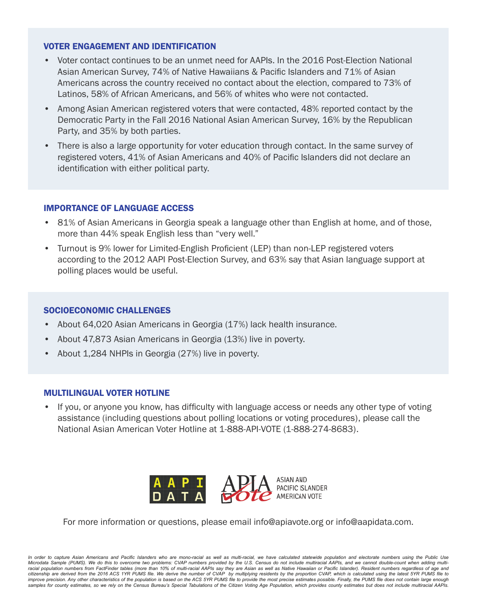- Voter contact continues to be an unmet need for AAPIs. In the 2016 Post-Election National Asian American Survey, 74% of Native Hawaiians & Pacific Islanders and 71% of Asian Americans across the country received no contact about the election, compared to 73% of Latinos, 58% of African Americans, and 56% of whites who were not contacted.
- Among Asian American registered voters that were contacted, 48% reported contact by the Democratic Party in the Fall 2016 National Asian American Survey, 16% by the Republican Party, and 35% by both parties.
- There is also a large opportunity for voter education through contact. In the same survey of registered voters, 41% of Asian Americans and 40% of Pacific Islanders did not declare an identification with either political party.

#### IMPORTANCE OF LANGUAGE ACCESS

- 81% of Asian Americans in Georgia speak a language other than English at home, and of those, more than 44% speak English less than "very well."
- Turnout is 9% lower for Limited-English Proficient (LEP) than non-LEP registered voters according to the 2012 AAPI Post-Election Survey, and 63% say that Asian language support at polling places would be useful.

#### SOCIOECONOMIC CHALLENGES

- About 64,020 Asian Americans in Georgia (17%) lack health insurance.
- About 47,873 Asian Americans in Georgia (13%) live in poverty.
- About 1,284 NHPIs in Georgia (27%) live in poverty.

#### MULTILINGUAL VOTER HOTLINE

• If you, or anyone you know, has difficulty with language access or needs any other type of voting assistance (including questions about polling locations or voting procedures), please call the National Asian American Voter Hotline at 1-888-API-VOTE (1-888-274-8683).



For more information or questions, please email info@apiavote.org or info@aapidata.com.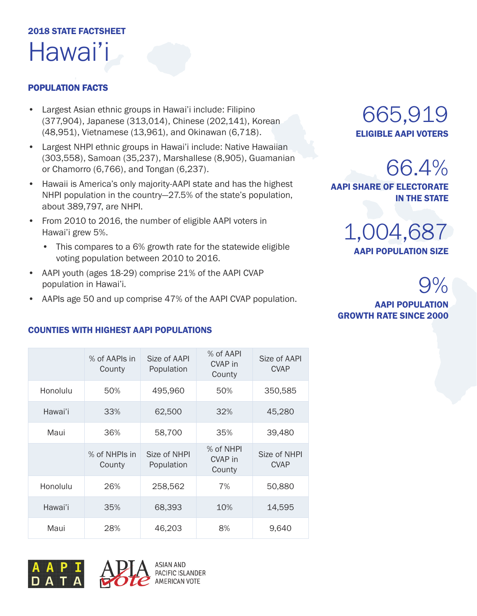## 2018 STATE FACTSHEET Hawai'i

#### POPULATION FACTS

- Largest Asian ethnic groups in Hawai'i include: Filipino (377,904), Japanese (313,014), Chinese (202,141), Korean (48,951), Vietnamese (13,961), and Okinawan (6,718).
- Largest NHPI ethnic groups in Hawai'i include: Native Hawaiian (303,558), Samoan (35,237), Marshallese (8,905), Guamanian or Chamorro (6,766), and Tongan (6,237).
- Hawaii is America's only majority-AAPI state and has the highest NHPI population in the country—27.5% of the state's population, about 389,797, are NHPI.
- From 2010 to 2016, the number of eligible AAPI voters in Hawai'i grew 5%.
	- This compares to a 6% growth rate for the statewide eligible voting population between 2010 to 2016.
- AAPI youth (ages 18-29) comprise 21% of the AAPI CVAP population in Hawai'i.
- AAPIs age 50 and up comprise 47% of the AAPI CVAP population.

### 665,919 ELIGIBLE AAPI VOTERS

66.4% AAPI SHARE OF ELECTORATE IN THE STATE



 $9%$ 

#### AAPI POPULATION GROWTH RATE SINCE 2000

|          | % of AAPIs in<br>County | Size of AAPI<br>Population | % of AAPI<br>CVAP in<br>County | Size of AAPI<br><b>CVAP</b> |
|----------|-------------------------|----------------------------|--------------------------------|-----------------------------|
| Honolulu | 50%                     | 495,960                    | 50%                            | 350,585                     |
| Hawai'i  | 33%                     | 62,500                     | 32%                            | 45,280                      |
| Maui     | 36%                     | 58,700                     | 35%                            | 39,480                      |
|          | % of NHPIs in<br>County | Size of NHPI<br>Population | % of NHPI<br>CVAP in<br>County | Size of NHPI<br><b>CVAP</b> |
| Honolulu | 26%                     | 258,562                    | 7%                             | 50,880                      |
| Hawai'i  | 35%                     | 68,393                     | 10%                            | 14,595                      |
| Maui     | 28%                     | 46,203                     | 8%                             | 9,640                       |

#### COUNTIES WITH HIGHEST AAPI POPULATIONS





**ASIAN AND** PACIFIC ISLANDER **AMERICAN VOTE**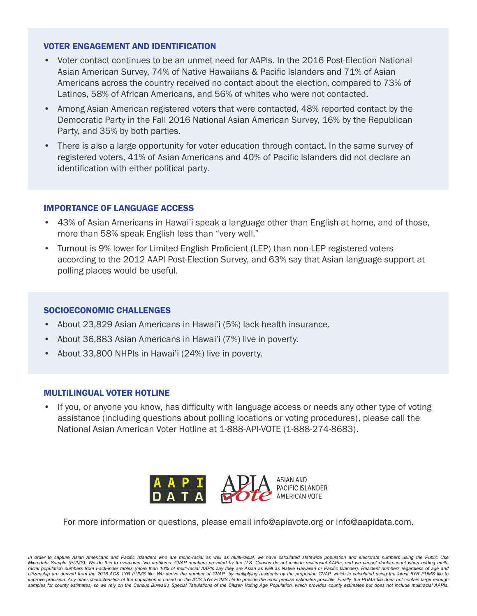- Voter contact continues to be an unmet need for AAPIs. In the 2016 Post-Election National Asian American Survey, 74% of Native Hawaiians & Pacific Islanders and 71% of Asian Americans across the country received no contact about the election, compared to 73% of Latinos, 58% of African Americans, and 56% of whites who were not contacted.
- Among Asian American registered voters that were contacted, 48% reported contact by the Democratic Party in the Fall 2016 National Asian American Survey, 16% by the Republican Party, and 35% by both parties.
- There is also a large opportunity for voter education through contact. In the same survey of registered voters, 41% of Asian Americans and 40% of Pacific Islanders did not declare an identification with either political party.

#### IMPORTANCE OF LANGUAGE ACCESS

- 43% of Asian Americans in Hawai'i speak a language other than English at home, and of those, more than 58% speak English less than "very well."
- Turnout is 9% lower for Limited-English Proficient (LEP) than non-LEP registered voters according to the 2012 AAPI Post-Election Survey, and 63% say that Asian language support at polling places would be useful.

#### SOCIOECONOMIC CHALLENGES

- About 23,829 Asian Americans in Hawai'i (5%) lack health insurance.
- About 36,883 Asian Americans in Hawai'i (7%) live in poverty.
- About 33,800 NHPIs in Hawai'i (24%) live in poverty.

#### MULTILINGUAL VOTER HOTLINE

• If you, or anyone you know, has difficulty with language access or needs any other type of voting assistance (including questions about polling locations or voting procedures), please call the National Asian American Voter Hotline at 1-888-API-VOTE (1-888-274-8683).



For more information or questions, please email info@apiavote.org or info@aapidata.com.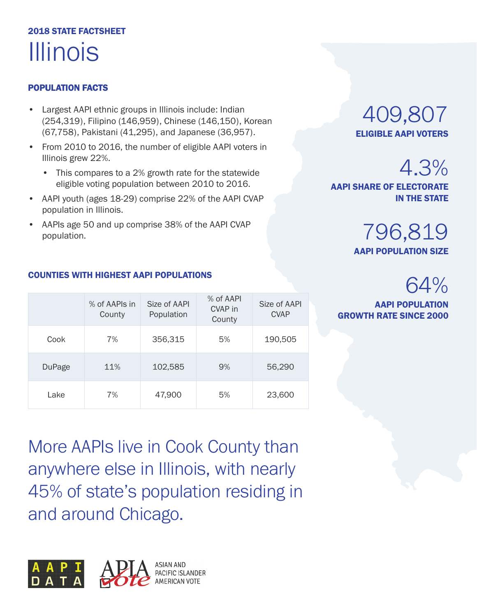## 2018 STATE FACTSHEET Illinois

#### POPULATION FACTS

- Largest AAPI ethnic groups in Illinois include: Indian (254,319), Filipino (146,959), Chinese (146,150), Korean (67,758), Pakistani (41,295), and Japanese (36,957).
- From 2010 to 2016, the number of eligible AAPI voters in Illinois grew 22%.
	- This compares to a 2% growth rate for the statewide eligible voting population between 2010 to 2016.
- AAPI youth (ages 18-29) comprise 22% of the AAPI CVAP population in Illinois.
- AAPIs age 50 and up comprise 38% of the AAPI CVAP population.

### 409,807 ELIGIBLE AAPI VOTERS

AAPI POPULATION SIZE

796,819

AAPI SHARE OF ELECTORATE

## 64%

4.3%

IN THE STATE

AAPI POPULATION GROWTH RATE SINCE 2000

|               | % of AAPIs in<br>County | Size of AAPI<br>Population | % of AAPI<br>CVAP in<br>County | Size of AAPI<br><b>CVAP</b> |
|---------------|-------------------------|----------------------------|--------------------------------|-----------------------------|
| Cook          | 7%                      | 356,315                    | 5%                             | 190,505                     |
| <b>DuPage</b> | 11%                     | 102,585                    | 9%                             | 56,290                      |
| Lake          | 7%                      | 47,900                     | 5%                             | 23,600                      |

#### COUNTIES WITH HIGHEST AAPI POPULATIONS

More AAPIs live in Cook County than anywhere else in Illinois, with nearly 45% of state's population residing in and around Chicago.

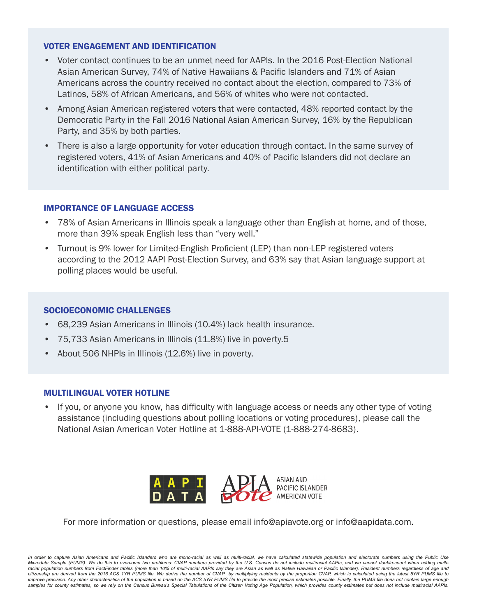- Voter contact continues to be an unmet need for AAPIs. In the 2016 Post-Election National Asian American Survey, 74% of Native Hawaiians & Pacific Islanders and 71% of Asian Americans across the country received no contact about the election, compared to 73% of Latinos, 58% of African Americans, and 56% of whites who were not contacted.
- Among Asian American registered voters that were contacted, 48% reported contact by the Democratic Party in the Fall 2016 National Asian American Survey, 16% by the Republican Party, and 35% by both parties.
- There is also a large opportunity for voter education through contact. In the same survey of registered voters, 41% of Asian Americans and 40% of Pacific Islanders did not declare an identification with either political party.

#### IMPORTANCE OF LANGUAGE ACCESS

- 78% of Asian Americans in Illinois speak a language other than English at home, and of those, more than 39% speak English less than "very well."
- Turnout is 9% lower for Limited-English Proficient (LEP) than non-LEP registered voters according to the 2012 AAPI Post-Election Survey, and 63% say that Asian language support at polling places would be useful.

#### SOCIOECONOMIC CHALLENGES

- 68,239 Asian Americans in Illinois (10.4%) lack health insurance.
- 75,733 Asian Americans in Illinois (11.8%) live in poverty.5
- About 506 NHPIs in Illinois (12.6%) live in poverty.

#### MULTILINGUAL VOTER HOTLINE

• If you, or anyone you know, has difficulty with language access or needs any other type of voting assistance (including questions about polling locations or voting procedures), please call the National Asian American Voter Hotline at 1-888-API-VOTE (1-888-274-8683).



For more information or questions, please email info@apiavote.org or info@aapidata.com.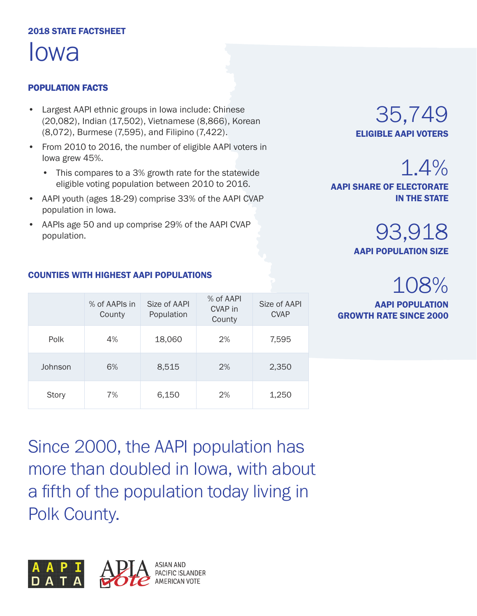#### 2018 STATE FACTSHEET

Iowa

#### POPULATION FACTS

- Largest AAPI ethnic groups in Iowa include: Chinese (20,082), Indian (17,502), Vietnamese (8,866), Korean (8,072), Burmese (7,595), and Filipino (7,422).
- From 2010 to 2016, the number of eligible AAPI voters in Iowa grew 45%.
	- This compares to a 3% growth rate for the statewide eligible voting population between 2010 to 2016.
- AAPI youth (ages 18-29) comprise 33% of the AAPI CVAP population in Iowa.
- AAPIs age 50 and up comprise 29% of the AAPI CVAP population.

### 35,749 ELIGIBLE AAPI VOTERS

1.4%

AAPI SHARE OF ELECTORATE IN THE STATE

> 93,918 AAPI POPULATION SIZE

## 108%

AAPI POPULATION GROWTH RATE SINCE 2000

|              | % of AAPIs in<br>County | Size of AAPI<br>Population | % of AAPI<br>CVAP in<br>County | Size of AAPI<br><b>CVAP</b> |
|--------------|-------------------------|----------------------------|--------------------------------|-----------------------------|
| Polk         | 4%                      | 18,060                     | 2%                             | 7,595                       |
| Johnson      | 6%                      | 8,515                      | 2%                             | 2,350                       |
| <b>Story</b> | 7%                      | 6,150                      | 2%                             | 1,250                       |

Since 2000, the AAPI population has more than doubled in Iowa, with about a fifth of the population today living in Polk County.



#### COUNTIES WITH HIGHEST AAPI POPULATIONS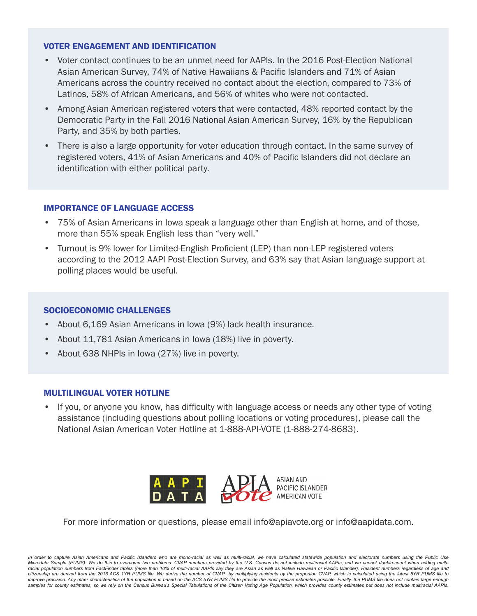- Voter contact continues to be an unmet need for AAPIs. In the 2016 Post-Election National Asian American Survey, 74% of Native Hawaiians & Pacific Islanders and 71% of Asian Americans across the country received no contact about the election, compared to 73% of Latinos, 58% of African Americans, and 56% of whites who were not contacted.
- Among Asian American registered voters that were contacted, 48% reported contact by the Democratic Party in the Fall 2016 National Asian American Survey, 16% by the Republican Party, and 35% by both parties.
- There is also a large opportunity for voter education through contact. In the same survey of registered voters, 41% of Asian Americans and 40% of Pacific Islanders did not declare an identification with either political party.

#### IMPORTANCE OF LANGUAGE ACCESS

- 75% of Asian Americans in Iowa speak a language other than English at home, and of those, more than 55% speak English less than "very well."
- Turnout is 9% lower for Limited-English Proficient (LEP) than non-LEP registered voters according to the 2012 AAPI Post-Election Survey, and 63% say that Asian language support at polling places would be useful.

#### SOCIOECONOMIC CHALLENGES

- About 6,169 Asian Americans in Iowa (9%) lack health insurance.
- About 11,781 Asian Americans in Iowa (18%) live in poverty.
- About 638 NHPIs in Iowa (27%) live in poverty.

#### MULTILINGUAL VOTER HOTLINE

• If you, or anyone you know, has difficulty with language access or needs any other type of voting assistance (including questions about polling locations or voting procedures), please call the National Asian American Voter Hotline at 1-888-API-VOTE (1-888-274-8683).



For more information or questions, please email info@apiavote.org or info@aapidata.com.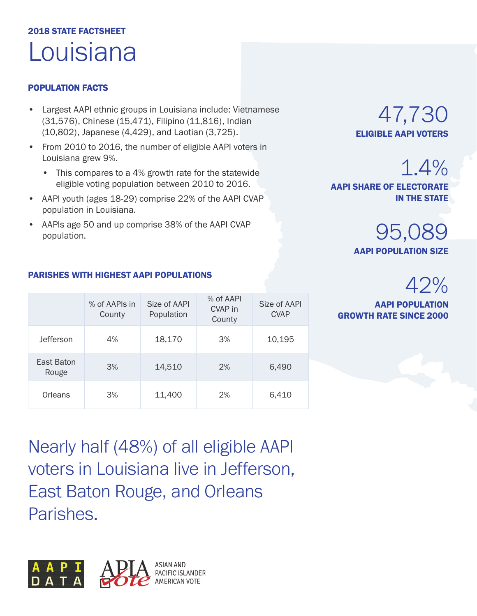## 2018 STATE FACTSHEET Louisiana

#### POPULATION FACTS

- Largest AAPI ethnic groups in Louisiana include: Vietnamese (31,576), Chinese (15,471), Filipino (11,816), Indian (10,802), Japanese (4,429), and Laotian (3,725).
- From 2010 to 2016, the number of eligible AAPI voters in Louisiana grew 9%.
	- This compares to a 4% growth rate for the statewide eligible voting population between 2010 to 2016.
- AAPI youth (ages 18-29) comprise 22% of the AAPI CVAP population in Louisiana.
- AAPIs age 50 and up comprise 38% of the AAPI CVAP population.

47,730 ELIGIBLE AAPI VOTERS

1.4%

AAPI SHARE OF ELECTORATE IN THE STATE

> 95,089 AAPI POPULATION SIZE

> > 42%

AAPI POPULATION GROWTH RATE SINCE 2000

### PARISHES WITH HIGHEST AAPI POPULATIONS

|                     | % of AAPIs in<br>County | Size of AAPI<br>Population | % of AAPI<br>CVAP in<br>County | Size of AAPI<br><b>CVAP</b> |
|---------------------|-------------------------|----------------------------|--------------------------------|-----------------------------|
| <b>Jefferson</b>    | 4%                      | 18,170                     | 3%                             | 10,195                      |
| East Baton<br>Rouge | 3%                      | 14,510                     | 2%                             | 6,490                       |
| Orleans             | 3%                      | 11,400                     | 2%                             | 6,410                       |

Nearly half (48%) of all eligible AAPI voters in Louisiana live in Jefferson, East Baton Rouge, and Orleans Parishes.

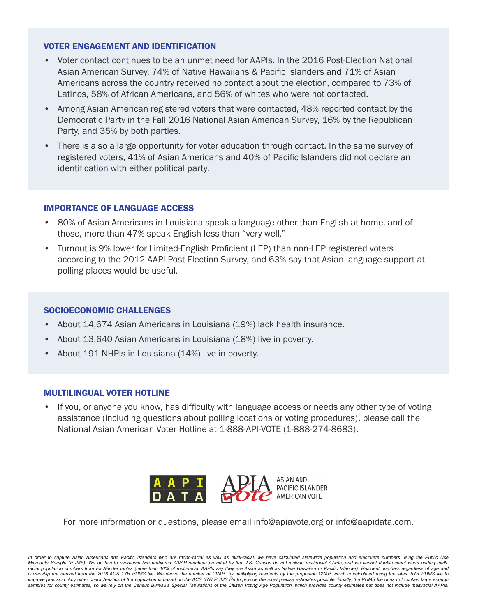- Voter contact continues to be an unmet need for AAPIs. In the 2016 Post-Election National Asian American Survey, 74% of Native Hawaiians & Pacific Islanders and 71% of Asian Americans across the country received no contact about the election, compared to 73% of Latinos, 58% of African Americans, and 56% of whites who were not contacted.
- Among Asian American registered voters that were contacted, 48% reported contact by the Democratic Party in the Fall 2016 National Asian American Survey, 16% by the Republican Party, and 35% by both parties.
- There is also a large opportunity for voter education through contact. In the same survey of registered voters, 41% of Asian Americans and 40% of Pacific Islanders did not declare an identification with either political party.

#### IMPORTANCE OF LANGUAGE ACCESS

- 80% of Asian Americans in Louisiana speak a language other than English at home, and of those, more than 47% speak English less than "very well."
- Turnout is 9% lower for Limited-English Proficient (LEP) than non-LEP registered voters according to the 2012 AAPI Post-Election Survey, and 63% say that Asian language support at polling places would be useful.

#### SOCIOECONOMIC CHALLENGES

- About 14,674 Asian Americans in Louisiana (19%) lack health insurance.
- About 13,640 Asian Americans in Louisiana (18%) live in poverty.
- About 191 NHPIs in Louisiana (14%) live in poverty.

#### MULTILINGUAL VOTER HOTLINE

• If you, or anyone you know, has difficulty with language access or needs any other type of voting assistance (including questions about polling locations or voting procedures), please call the National Asian American Voter Hotline at 1-888-API-VOTE (1-888-274-8683).



For more information or questions, please email info@apiavote.org or info@aapidata.com.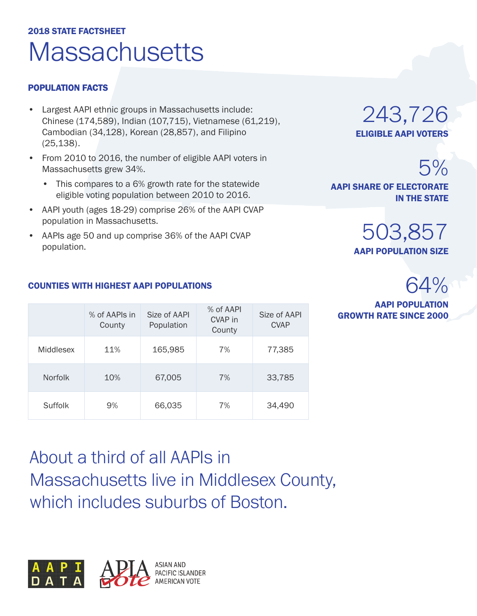## 2018 STATE FACTSHEET **Massachusetts**

#### POPULATION FACTS

- Largest AAPI ethnic groups in Massachusetts include: Chinese (174,589), Indian (107,715), Vietnamese (61,219), Cambodian (34,128), Korean (28,857), and Filipino (25,138).
- From 2010 to 2016, the number of eligible AAPI voters in Massachusetts grew 34%.
	- This compares to a 6% growth rate for the statewide eligible voting population between 2010 to 2016.
- AAPI youth (ages 18-29) comprise 26% of the AAPI CVAP population in Massachusetts.
- AAPIs age 50 and up comprise 36% of the AAPI CVAP population.

243,726 ELIGIBLE AAPI VOTERS

5% AAPI SHARE OF ELECTORATE IN THE STATE

> 503,857 AAPI POPULATION SIZE

## 64%

AAPI POPULATION **GROWTH RATE SINCE 2000** 

#### COUNTIES WITH HIGHEST AAPI POPULATIONS

|                | % of AAPIs in<br>County | Size of AAPI<br>Population | % of AAPI<br>CVAP in<br>County | Size of AAPI<br><b>CVAP</b> |
|----------------|-------------------------|----------------------------|--------------------------------|-----------------------------|
| Middlesex      | 11%                     | 165,985                    | 7%                             | 77,385                      |
| <b>Norfolk</b> | 10%                     | 67,005                     | 7%                             | 33,785                      |
| Suffolk        | 9%                      | 66,035                     | 7%                             | 34,490                      |

About a third of all AAPIs in Massachusetts live in Middlesex County, which includes suburbs of Boston.

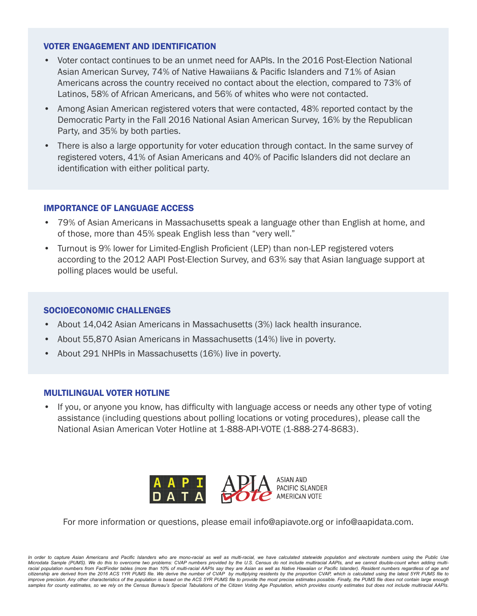- Voter contact continues to be an unmet need for AAPIs. In the 2016 Post-Election National Asian American Survey, 74% of Native Hawaiians & Pacific Islanders and 71% of Asian Americans across the country received no contact about the election, compared to 73% of Latinos, 58% of African Americans, and 56% of whites who were not contacted.
- Among Asian American registered voters that were contacted, 48% reported contact by the Democratic Party in the Fall 2016 National Asian American Survey, 16% by the Republican Party, and 35% by both parties.
- There is also a large opportunity for voter education through contact. In the same survey of registered voters, 41% of Asian Americans and 40% of Pacific Islanders did not declare an identification with either political party.

#### IMPORTANCE OF LANGUAGE ACCESS

- 79% of Asian Americans in Massachusetts speak a language other than English at home, and of those, more than 45% speak English less than "very well."
- Turnout is 9% lower for Limited-English Proficient (LEP) than non-LEP registered voters according to the 2012 AAPI Post-Election Survey, and 63% say that Asian language support at polling places would be useful.

#### SOCIOECONOMIC CHALLENGES

- About 14,042 Asian Americans in Massachusetts (3%) lack health insurance.
- About 55,870 Asian Americans in Massachusetts (14%) live in poverty.
- About 291 NHPIs in Massachusetts (16%) live in poverty.

#### MULTILINGUAL VOTER HOTLINE

• If you, or anyone you know, has difficulty with language access or needs any other type of voting assistance (including questions about polling locations or voting procedures), please call the National Asian American Voter Hotline at 1-888-API-VOTE (1-888-274-8683).



For more information or questions, please email info@apiavote.org or info@aapidata.com.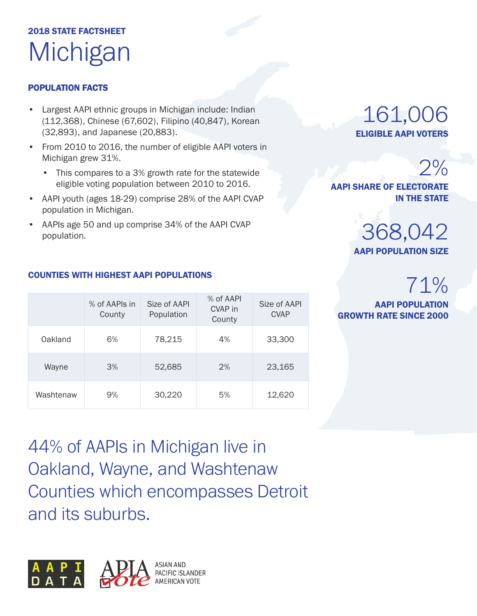## 2018 STATE FACTSHEET **Michigan**

#### POPULATION FACTS

- Largest AAPI ethnic groups in Michigan include: Indian (112,368), Chinese (67,602), Filipino (40,847), Korean (32,893), and Japanese (20,883).
- From 2010 to 2016, the number of eligible AAPI voters in Michigan grew 31%.
	- This compares to a 3% growth rate for the statewide eligible voting population between 2010 to 2016.
- AAPI youth (ages 18-29) comprise 28% of the AAPI CVAP population in Michigan.
- AAPIs age 50 and up comprise 34% of the AAPI CVAP population.

### 161,006 ELIGIBLE AAPI VOTERS

## $2%$

AAPI SHARE OF ELECTORATE IN THE STATE

### 368,042 AAPI POPULATION SIZE

## 71%

AAPI POPULATION GROWTH RATE SINCE 2000

Size of AAPI

#### $M = 4$  A A DIs in Size of AAPI % of AAPI

COUNTIES WITH HIGHEST AAPI POPULATIONS

|           | $/0$ ULAAF 13 III<br>County | <b>JILE UI AAL I</b><br>Population | <b>CVAP</b> in<br>County | JILE UI AAL I<br><b>CVAP</b> |
|-----------|-----------------------------|------------------------------------|--------------------------|------------------------------|
| Oakland   | 6%                          | 78,215                             | 4%                       | 33,300                       |
| Wayne     | 3%                          | 52,685                             | 2%                       | 23,165                       |
| Washtenaw | 9%                          | 30,220                             | 5%                       | 12,620                       |

44% of AAPIs in Michigan live in Oakland, Wayne, and Washtenaw Counties which encompasses Detroit and its suburbs.

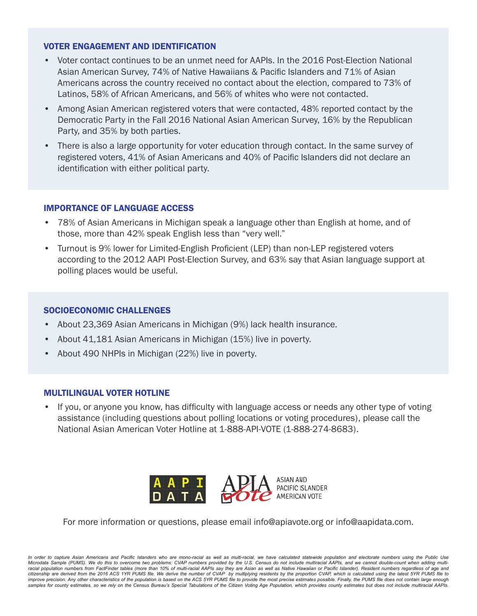- Voter contact continues to be an unmet need for AAPIs. In the 2016 Post-Election National Asian American Survey, 74% of Native Hawaiians & Pacific Islanders and 71% of Asian Americans across the country received no contact about the election, compared to 73% of Latinos, 58% of African Americans, and 56% of whites who were not contacted.
- Among Asian American registered voters that were contacted, 48% reported contact by the Democratic Party in the Fall 2016 National Asian American Survey, 16% by the Republican Party, and 35% by both parties.
- There is also a large opportunity for voter education through contact. In the same survey of registered voters, 41% of Asian Americans and 40% of Pacific Islanders did not declare an identification with either political party.

#### IMPORTANCE OF LANGUAGE ACCESS

- 78% of Asian Americans in Michigan speak a language other than English at home, and of those, more than 42% speak English less than "very well."
- Turnout is 9% lower for Limited-English Proficient (LEP) than non-LEP registered voters according to the 2012 AAPI Post-Election Survey, and 63% say that Asian language support at polling places would be useful.

#### SOCIOECONOMIC CHALLENGES

- About 23,369 Asian Americans in Michigan (9%) lack health insurance.
- About 41,181 Asian Americans in Michigan (15%) live in poverty.
- About 490 NHPIs in Michigan (22%) live in poverty.

#### MULTILINGUAL VOTER HOTLINE

• If you, or anyone you know, has difficulty with language access or needs any other type of voting assistance (including questions about polling locations or voting procedures), please call the National Asian American Voter Hotline at 1-888-API-VOTE (1-888-274-8683).



For more information or questions, please email info@apiavote.org or info@aapidata.com.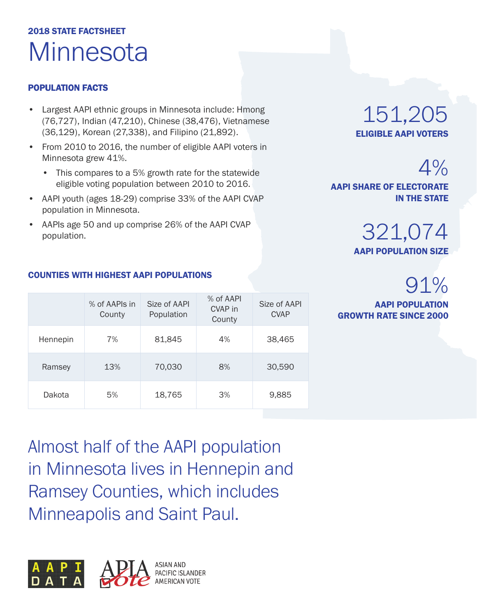## 2018 STATE FACTSHEET **Minnesota**

#### POPULATION FACTS

- Largest AAPI ethnic groups in Minnesota include: Hmong (76,727), Indian (47,210), Chinese (38,476), Vietnamese (36,129), Korean (27,338), and Filipino (21,892).
- From 2010 to 2016, the number of eligible AAPI voters in Minnesota grew 41%.
	- This compares to a 5% growth rate for the statewide eligible voting population between 2010 to 2016.
- AAPI youth (ages 18-29) comprise 33% of the AAPI CVAP population in Minnesota.
- AAPIs age 50 and up comprise 26% of the AAPI CVAP population.

### 151,205 ELIGIBLE AAPI VOTERS

 $4%$ AAPI SHARE OF ELECTORATE IN THE STATE

> 321,074 AAPI POPULATION SIZE

## 91%

AAPI POPULATION GROWTH RATE SINCE 2000

|          | % of AAPIs in<br>County | Size of AAPI<br>Population | % of AAPI<br>CVAP in<br>County | Size of AAPI<br><b>CVAP</b> |
|----------|-------------------------|----------------------------|--------------------------------|-----------------------------|
| Hennepin | 7%                      | 81,845                     | 4%                             | 38,465                      |
| Ramsey   | 13%                     | 70,030                     | 8%                             | 30,590                      |
| Dakota   | 5%                      | 18,765                     | 3%                             | 9,885                       |

Almost half of the AAPI population in Minnesota lives in Hennepin and Ramsey Counties, which includes Minneapolis and Saint Paul.



#### COUNTIES WITH HIGHEST AAPI POPULATIONS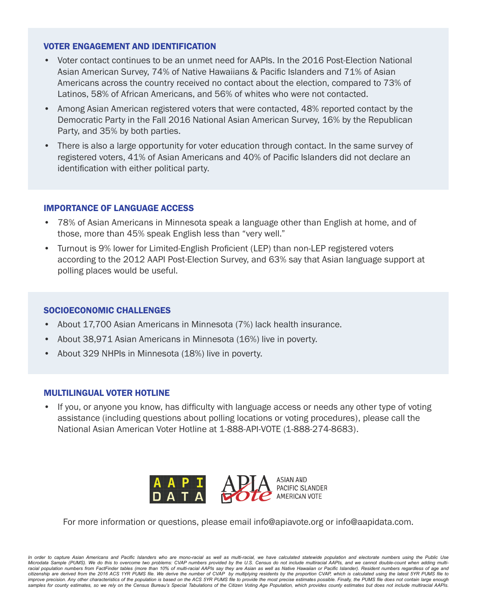- Voter contact continues to be an unmet need for AAPIs. In the 2016 Post-Election National Asian American Survey, 74% of Native Hawaiians & Pacific Islanders and 71% of Asian Americans across the country received no contact about the election, compared to 73% of Latinos, 58% of African Americans, and 56% of whites who were not contacted.
- Among Asian American registered voters that were contacted, 48% reported contact by the Democratic Party in the Fall 2016 National Asian American Survey, 16% by the Republican Party, and 35% by both parties.
- There is also a large opportunity for voter education through contact. In the same survey of registered voters, 41% of Asian Americans and 40% of Pacific Islanders did not declare an identification with either political party.

#### IMPORTANCE OF LANGUAGE ACCESS

- 78% of Asian Americans in Minnesota speak a language other than English at home, and of those, more than 45% speak English less than "very well."
- Turnout is 9% lower for Limited-English Proficient (LEP) than non-LEP registered voters according to the 2012 AAPI Post-Election Survey, and 63% say that Asian language support at polling places would be useful.

#### SOCIOECONOMIC CHALLENGES

- About 17,700 Asian Americans in Minnesota (7%) lack health insurance.
- About 38,971 Asian Americans in Minnesota (16%) live in poverty.
- About 329 NHPIs in Minnesota (18%) live in poverty.

#### MULTILINGUAL VOTER HOTLINE

• If you, or anyone you know, has difficulty with language access or needs any other type of voting assistance (including questions about polling locations or voting procedures), please call the National Asian American Voter Hotline at 1-888-API-VOTE (1-888-274-8683).



For more information or questions, please email info@apiavote.org or info@aapidata.com.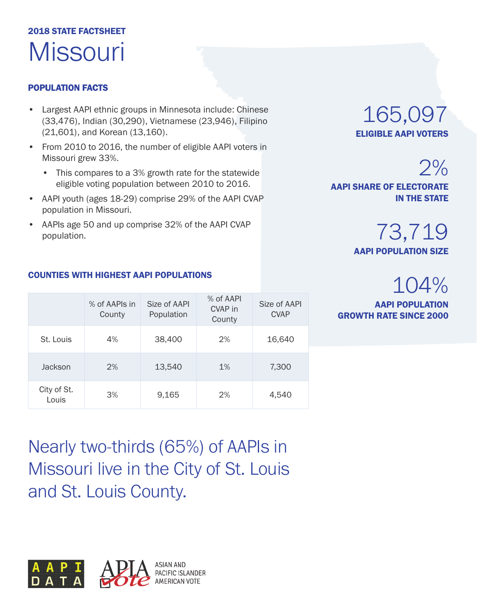## 2018 STATE FACTSHEET **Missouri**

#### POPULATION FACTS

- Largest AAPI ethnic groups in Minnesota include: Chinese (33,476), Indian (30,290), Vietnamese (23,946), Filipino (21,601), and Korean (13,160).
- From 2010 to 2016, the number of eligible AAPI voters in Missouri grew 33%.
	- This compares to a 3% growth rate for the statewide eligible voting population between 2010 to 2016.
- AAPI youth (ages 18-29) comprise 29% of the AAPI CVAP population in Missouri.
- AAPIs age 50 and up comprise 32% of the AAPI CVAP population.

165,097 ELIGIBLE AAPI VOTERS

 $2%$ AAPI SHARE OF ELECTORATE IN THE STATE

> 73,719 AAPI POPULATION SIZE

## 104%

AAPI POPULATION GROWTH RATE SINCE 2000

#### COUNTIES WITH HIGHEST AAPI POPULATIONS

|                      | % of AAPIs in<br>County | Size of AAPI<br>Population | % of AAPI<br><b>CVAP</b> in<br>County | Size of AAPI<br><b>CVAP</b> |
|----------------------|-------------------------|----------------------------|---------------------------------------|-----------------------------|
| St. Louis            | 4%                      | 38,400                     | 2%                                    | 16,640                      |
| Jackson              | 2%                      | 13,540                     | 1%                                    | 7,300                       |
| City of St.<br>Louis | 3%                      | 9,165                      | 2%                                    | 4,540                       |

Nearly two-thirds (65%) of AAPIs in Missouri live in the City of St. Louis and St. Louis County.

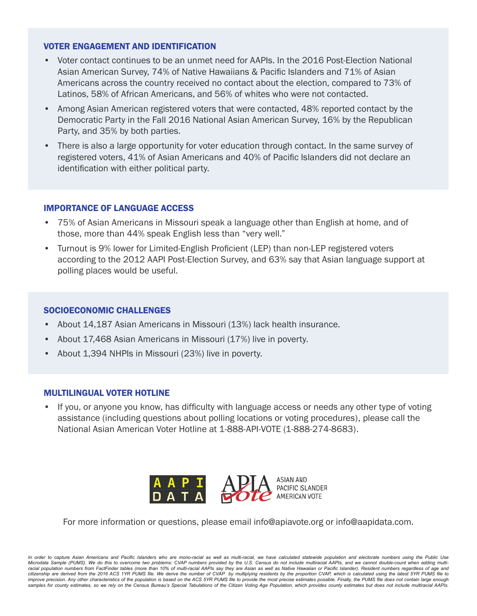- Voter contact continues to be an unmet need for AAPIs. In the 2016 Post-Election National Asian American Survey, 74% of Native Hawaiians & Pacific Islanders and 71% of Asian Americans across the country received no contact about the election, compared to 73% of Latinos, 58% of African Americans, and 56% of whites who were not contacted.
- Among Asian American registered voters that were contacted, 48% reported contact by the Democratic Party in the Fall 2016 National Asian American Survey, 16% by the Republican Party, and 35% by both parties.
- There is also a large opportunity for voter education through contact. In the same survey of registered voters, 41% of Asian Americans and 40% of Pacific Islanders did not declare an identification with either political party.

#### IMPORTANCE OF LANGUAGE ACCESS

- 75% of Asian Americans in Missouri speak a language other than English at home, and of those, more than 44% speak English less than "very well."
- Turnout is 9% lower for Limited-English Proficient (LEP) than non-LEP registered voters according to the 2012 AAPI Post-Election Survey, and 63% say that Asian language support at polling places would be useful.

#### SOCIOECONOMIC CHALLENGES

- About 14,187 Asian Americans in Missouri (13%) lack health insurance.
- About 17,468 Asian Americans in Missouri (17%) live in poverty.
- About 1,394 NHPIs in Missouri (23%) live in poverty.

#### MULTILINGUAL VOTER HOTLINE

• If you, or anyone you know, has difficulty with language access or needs any other type of voting assistance (including questions about polling locations or voting procedures), please call the National Asian American Voter Hotline at 1-888-API-VOTE (1-888-274-8683).



For more information or questions, please email info@apiavote.org or info@aapidata.com.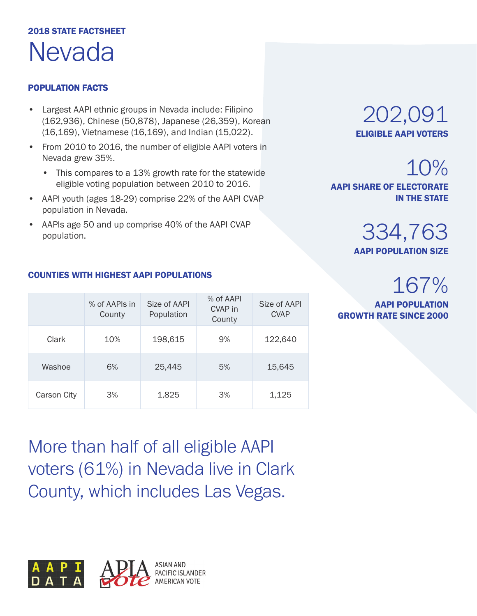## 2018 STATE FACTSHEET Nevada

#### POPULATION FACTS

- Largest AAPI ethnic groups in Nevada include: Filipino (162,936), Chinese (50,878), Japanese (26,359), Korean (16,169), Vietnamese (16,169), and Indian (15,022).
- From 2010 to 2016, the number of eligible AAPI voters in Nevada grew 35%.
	- This compares to a 13% growth rate for the statewide eligible voting population between 2010 to 2016.
- AAPI youth (ages 18-29) comprise 22% of the AAPI CVAP population in Nevada.
- AAPIs age 50 and up comprise 40% of the AAPI CVAP population.

### 202,091 ELIGIBLE AAPI VOTERS

10% AAPI SHARE OF ELECTORATE IN THE STATE

> 334,763 AAPI POPULATION SIZE

## 167%

AAPI POPULATION GROWTH RATE SINCE 2000

#### COUNTIES WITH HIGHEST AAPI POPULATIONS

|             | % of AAPIs in<br>County | Size of AAPI<br>Population | % of AAPI<br>CVAP in<br>County | Size of AAPI<br><b>CVAP</b> |
|-------------|-------------------------|----------------------------|--------------------------------|-----------------------------|
| Clark       | 10%                     | 198,615                    | 9%                             | 122,640                     |
| Washoe      | 6%                      | 25,445                     | 5%                             | 15,645                      |
| Carson City | 3%                      | 1,825                      | 3%                             | 1,125                       |

More than half of all eligible AAPI voters (61%) in Nevada live in Clark County, which includes Las Vegas.

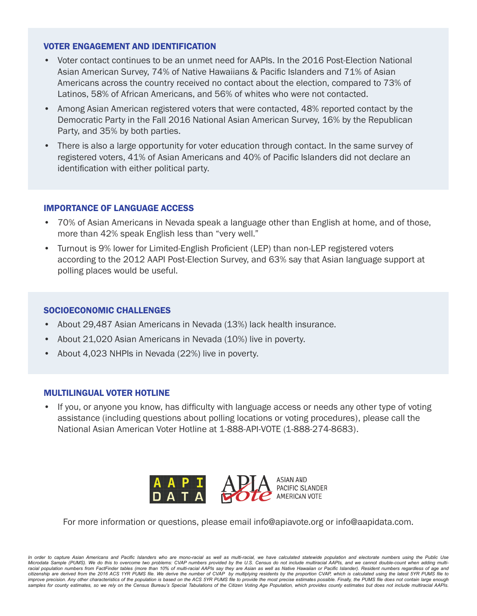- Voter contact continues to be an unmet need for AAPIs. In the 2016 Post-Election National Asian American Survey, 74% of Native Hawaiians & Pacific Islanders and 71% of Asian Americans across the country received no contact about the election, compared to 73% of Latinos, 58% of African Americans, and 56% of whites who were not contacted.
- Among Asian American registered voters that were contacted, 48% reported contact by the Democratic Party in the Fall 2016 National Asian American Survey, 16% by the Republican Party, and 35% by both parties.
- There is also a large opportunity for voter education through contact. In the same survey of registered voters, 41% of Asian Americans and 40% of Pacific Islanders did not declare an identification with either political party.

#### IMPORTANCE OF LANGUAGE ACCESS

- 70% of Asian Americans in Nevada speak a language other than English at home, and of those, more than 42% speak English less than "very well."
- Turnout is 9% lower for Limited-English Proficient (LEP) than non-LEP registered voters according to the 2012 AAPI Post-Election Survey, and 63% say that Asian language support at polling places would be useful.

#### SOCIOECONOMIC CHALLENGES

- About 29,487 Asian Americans in Nevada (13%) lack health insurance.
- About 21,020 Asian Americans in Nevada (10%) live in poverty.
- About 4,023 NHPIs in Nevada (22%) live in poverty.

#### MULTILINGUAL VOTER HOTLINE

• If you, or anyone you know, has difficulty with language access or needs any other type of voting assistance (including questions about polling locations or voting procedures), please call the National Asian American Voter Hotline at 1-888-API-VOTE (1-888-274-8683).



For more information or questions, please email info@apiavote.org or info@aapidata.com.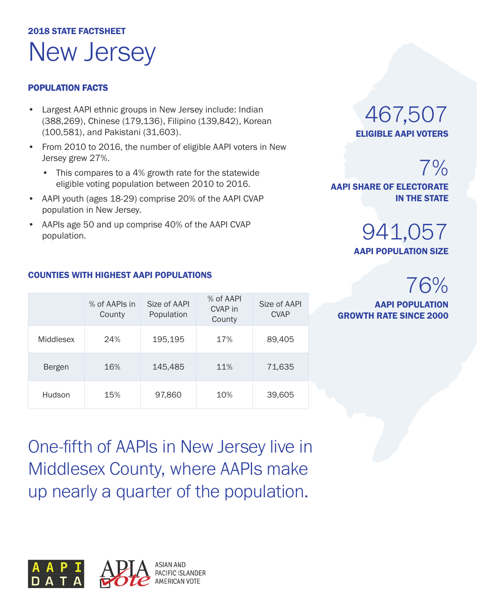## 2018 STATE FACTSHEET New Jersey

#### POPULATION FACTS

- Largest AAPI ethnic groups in New Jersey include: Indian (388,269), Chinese (179,136), Filipino (139,842), Korean (100,581), and Pakistani (31,603).
- From 2010 to 2016, the number of eligible AAPI voters in New Jersey grew 27%.
	- This compares to a 4% growth rate for the statewide eligible voting population between 2010 to 2016.
- AAPI youth (ages 18-29) comprise 20% of the AAPI CVAP population in New Jersey.
- AAPIs age 50 and up comprise 40% of the AAPI CVAP population.

### 467,507 ELIGIBLE AAPI VOTERS

7% AAPI SHARE OF ELECTORATE IN THE STATE

### 941,057 AAPI POPULATION SIZE

## 76%

AAPI POPULATION GROWTH RATE SINCE 2000

#### COUNTIES WITH HIGHEST AAPI POPULATIONS

|           | % of AAPIs in<br>County | Size of AAPI<br>Population | % of AAPI<br>CVAP in<br>County | Size of AAPI<br><b>CVAP</b> |
|-----------|-------------------------|----------------------------|--------------------------------|-----------------------------|
| Middlesex | 24%                     | 195,195                    | 17%                            | 89,405                      |
| Bergen    | 16%                     | 145,485                    | 11%                            | 71,635                      |
| Hudson    | 15%                     | 97,860                     | 10%                            | 39,605                      |

One-fifth of AAPIs in New Jersey live in Middlesex County, where AAPIs make up nearly a quarter of the population.

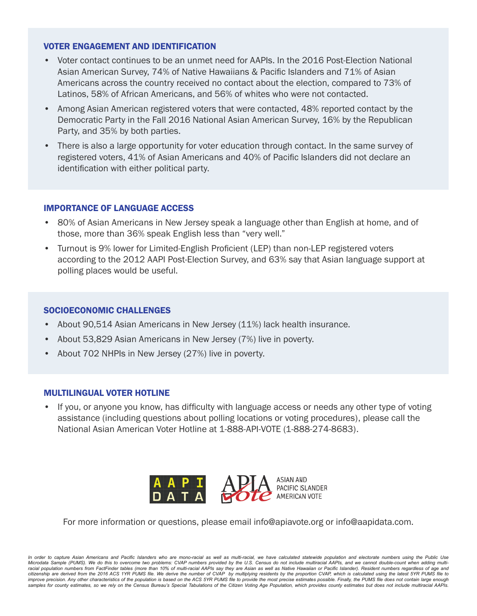- Voter contact continues to be an unmet need for AAPIs. In the 2016 Post-Election National Asian American Survey, 74% of Native Hawaiians & Pacific Islanders and 71% of Asian Americans across the country received no contact about the election, compared to 73% of Latinos, 58% of African Americans, and 56% of whites who were not contacted.
- Among Asian American registered voters that were contacted, 48% reported contact by the Democratic Party in the Fall 2016 National Asian American Survey, 16% by the Republican Party, and 35% by both parties.
- There is also a large opportunity for voter education through contact. In the same survey of registered voters, 41% of Asian Americans and 40% of Pacific Islanders did not declare an identification with either political party.

#### IMPORTANCE OF LANGUAGE ACCESS

- 80% of Asian Americans in New Jersey speak a language other than English at home, and of those, more than 36% speak English less than "very well."
- Turnout is 9% lower for Limited-English Proficient (LEP) than non-LEP registered voters according to the 2012 AAPI Post-Election Survey, and 63% say that Asian language support at polling places would be useful.

#### SOCIOECONOMIC CHALLENGES

- About 90,514 Asian Americans in New Jersey (11%) lack health insurance.
- About 53,829 Asian Americans in New Jersey (7%) live in poverty.
- About 702 NHPIs in New Jersey (27%) live in poverty.

#### MULTILINGUAL VOTER HOTLINE

• If you, or anyone you know, has difficulty with language access or needs any other type of voting assistance (including questions about polling locations or voting procedures), please call the National Asian American Voter Hotline at 1-888-API-VOTE (1-888-274-8683).



For more information or questions, please email info@apiavote.org or info@aapidata.com.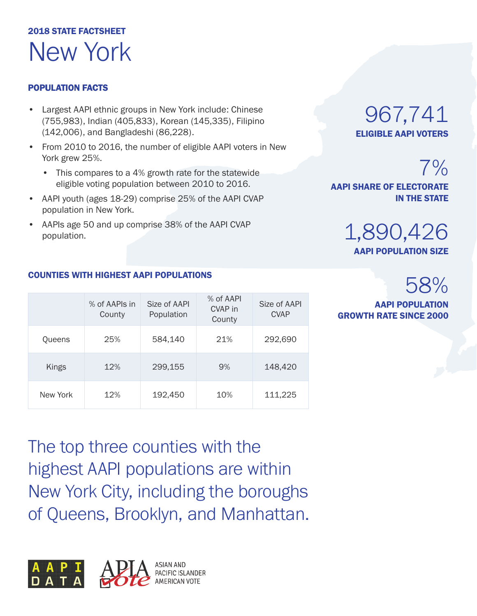## 2018 STATE FACTSHEET New York

#### POPULATION FACTS

- Largest AAPI ethnic groups in New York include: Chinese (755,983), Indian (405,833), Korean (145,335), Filipino (142,006), and Bangladeshi (86,228).
- From 2010 to 2016, the number of eligible AAPI voters in New York grew 25%.
	- This compares to a 4% growth rate for the statewide eligible voting population between 2010 to 2016.
- AAPI youth (ages 18-29) comprise 25% of the AAPI CVAP population in New York.
- AAPIs age 50 and up comprise 38% of the AAPI CVAP population.

### 967,741 ELIGIBLE AAPI VOTERS

 $7%$ AAPI SHARE OF ELECTORATE IN THE STATE

## 1,890,426

AAPI POPULATION SIZE

## 58%

AAPI POPULATION GROWTH RATE SINCE 2000

| <b>COUNTIES WITH HIGHEST AAPI POPULATIONS</b> |  |  |  |
|-----------------------------------------------|--|--|--|
|                                               |  |  |  |

|          | % of AAPIs in<br>County | Size of AAPI<br>Population | % of AAPI<br>CVAP in<br>County | Size of AAPI<br><b>CVAP</b> |
|----------|-------------------------|----------------------------|--------------------------------|-----------------------------|
| Queens   | 25%                     | 584,140                    | 21%                            | 292,690                     |
| Kings    | 12%                     | 299,155                    | 9%                             | 148,420                     |
| New York | 12%                     | 192,450                    | 10%                            | 111,225                     |

The top three counties with the highest AAPI populations are within New York City, including the boroughs of Queens, Brooklyn, and Manhattan.

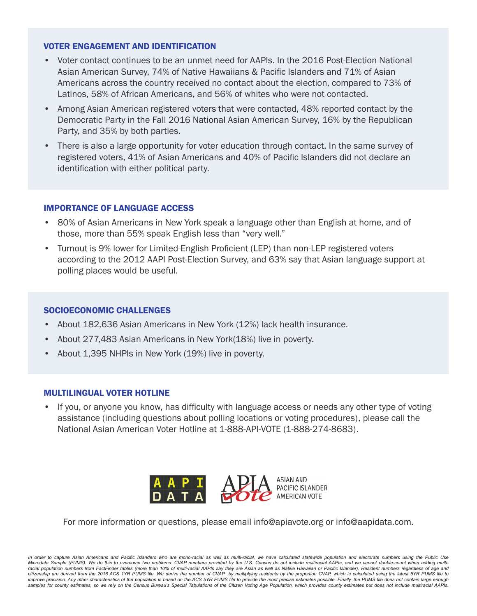- Voter contact continues to be an unmet need for AAPIs. In the 2016 Post-Election National Asian American Survey, 74% of Native Hawaiians & Pacific Islanders and 71% of Asian Americans across the country received no contact about the election, compared to 73% of Latinos, 58% of African Americans, and 56% of whites who were not contacted.
- Among Asian American registered voters that were contacted, 48% reported contact by the Democratic Party in the Fall 2016 National Asian American Survey, 16% by the Republican Party, and 35% by both parties.
- There is also a large opportunity for voter education through contact. In the same survey of registered voters, 41% of Asian Americans and 40% of Pacific Islanders did not declare an identification with either political party.

#### IMPORTANCE OF LANGUAGE ACCESS

- 80% of Asian Americans in New York speak a language other than English at home, and of those, more than 55% speak English less than "very well."
- Turnout is 9% lower for Limited-English Proficient (LEP) than non-LEP registered voters according to the 2012 AAPI Post-Election Survey, and 63% say that Asian language support at polling places would be useful.

#### SOCIOECONOMIC CHALLENGES

- About 182,636 Asian Americans in New York (12%) lack health insurance.
- About 277,483 Asian Americans in New York(18%) live in poverty.
- About 1,395 NHPIs in New York (19%) live in poverty.

#### MULTILINGUAL VOTER HOTLINE

• If you, or anyone you know, has difficulty with language access or needs any other type of voting assistance (including questions about polling locations or voting procedures), please call the National Asian American Voter Hotline at 1-888-API-VOTE (1-888-274-8683).



For more information or questions, please email info@apiavote.org or info@aapidata.com.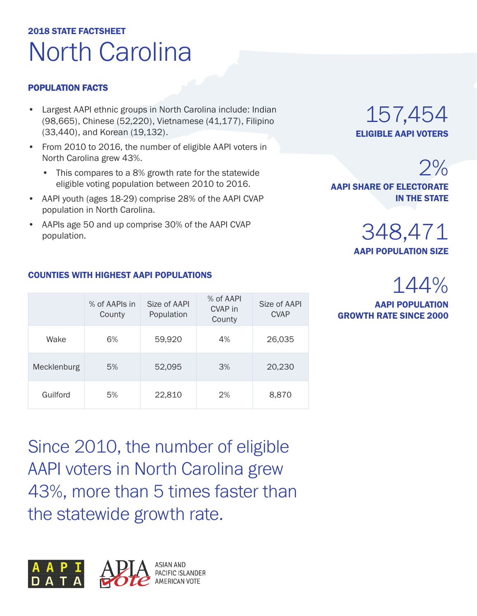## 2018 STATE FACTSHEET North Carolina

#### POPULATION FACTS

- Largest AAPI ethnic groups in North Carolina include: Indian (98,665), Chinese (52,220), Vietnamese (41,177), Filipino (33,440), and Korean (19,132).
- From 2010 to 2016, the number of eligible AAPI voters in North Carolina grew 43%.
	- This compares to a 8% growth rate for the statewide eligible voting population between 2010 to 2016.
- AAPI youth (ages 18-29) comprise 28% of the AAPI CVAP population in North Carolina.
- AAPIs age 50 and up comprise 30% of the AAPI CVAP population.

### 157,454 ELIGIBLE AAPI VOTERS

 $2%$ AAPI SHARE OF ELECTORATE IN THE STATE

> 348,471 AAPI POPULATION SIZE

## 144%

AAPI POPULATION GROWTH RATE SINCE 2000

#### $\gamma$  of AAPI COUNTIES WITH HIGHEST AAPI POPULATIONS

|             | % of AAPIs in<br>County | Size of AAPI<br>Population | % OLAAPI<br>CVAP in<br>County | Size of AAPI<br><b>CVAP</b> |
|-------------|-------------------------|----------------------------|-------------------------------|-----------------------------|
| Wake        | 6%                      | 59,920                     | 4%                            | 26,035                      |
| Mecklenburg | 5%                      | 52,095                     | 3%                            | 20,230                      |
| Guilford    | 5%                      | 22,810                     | 2%                            | 8,870                       |

Since 2010, the number of eligible AAPI voters in North Carolina grew 43%, more than 5 times faster than the statewide growth rate.

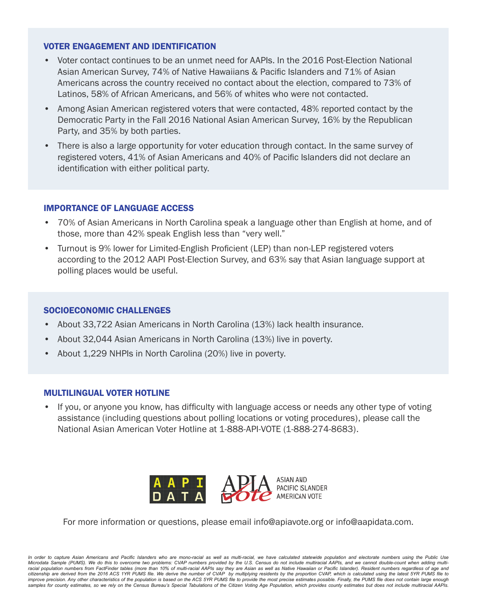- Voter contact continues to be an unmet need for AAPIs. In the 2016 Post-Election National Asian American Survey, 74% of Native Hawaiians & Pacific Islanders and 71% of Asian Americans across the country received no contact about the election, compared to 73% of Latinos, 58% of African Americans, and 56% of whites who were not contacted.
- Among Asian American registered voters that were contacted, 48% reported contact by the Democratic Party in the Fall 2016 National Asian American Survey, 16% by the Republican Party, and 35% by both parties.
- There is also a large opportunity for voter education through contact. In the same survey of registered voters, 41% of Asian Americans and 40% of Pacific Islanders did not declare an identification with either political party.

#### IMPORTANCE OF LANGUAGE ACCESS

- 70% of Asian Americans in North Carolina speak a language other than English at home, and of those, more than 42% speak English less than "very well."
- Turnout is 9% lower for Limited-English Proficient (LEP) than non-LEP registered voters according to the 2012 AAPI Post-Election Survey, and 63% say that Asian language support at polling places would be useful.

#### SOCIOECONOMIC CHALLENGES

- About 33,722 Asian Americans in North Carolina (13%) lack health insurance.
- About 32,044 Asian Americans in North Carolina (13%) live in poverty.
- About 1,229 NHPIs in North Carolina (20%) live in poverty.

#### MULTILINGUAL VOTER HOTLINE

• If you, or anyone you know, has difficulty with language access or needs any other type of voting assistance (including questions about polling locations or voting procedures), please call the National Asian American Voter Hotline at 1-888-API-VOTE (1-888-274-8683).



For more information or questions, please email info@apiavote.org or info@aapidata.com.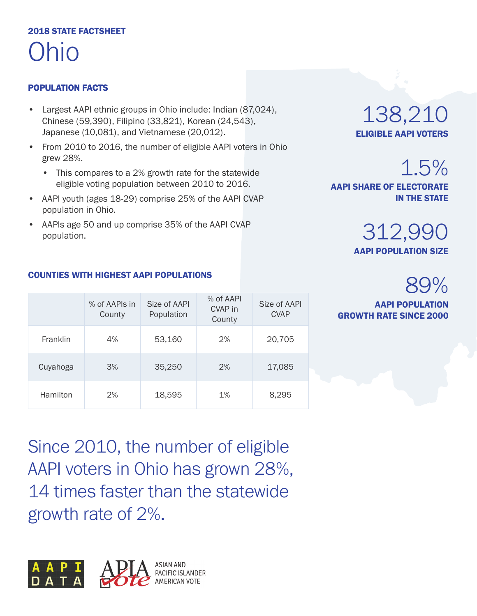## 2018 STATE FACTSHEET Ohio

#### POPULATION FACTS

- Largest AAPI ethnic groups in Ohio include: Indian (87,024), Chinese (59,390), Filipino (33,821), Korean (24,543), Japanese (10,081), and Vietnamese (20,012).
- From 2010 to 2016, the number of eligible AAPI voters in Ohio grew 28%.
	- This compares to a 2% growth rate for the statewide eligible voting population between 2010 to 2016.
- AAPI youth (ages 18-29) comprise 25% of the AAPI CVAP population in Ohio.
- AAPIs age 50 and up comprise 35% of the AAPI CVAP population.

### 138,210 ELIGIBLE AAPI VOTERS

1.5%

AAPI SHARE OF ELECTORATE IN THE STATE

> 312,990 AAPI POPULATION SIZE

## 89%

AAPI POPULATION GROWTH RATE SINCE 2000

#### COUNTIES WITH HIGHEST AAPI POPULATIONS

|          | % of AAPIs in<br>County | Size of AAPI<br>Population | % of AAPI<br>CVAP in<br>County | Size of AAPI<br><b>CVAP</b> |
|----------|-------------------------|----------------------------|--------------------------------|-----------------------------|
| Franklin | 4%                      | 53,160                     | 2%                             | 20,705                      |
| Cuyahoga | 3%                      | 35,250                     | 2%                             | 17,085                      |
| Hamilton | 2%                      | 18,595                     | 1%                             | 8,295                       |

Since 2010, the number of eligible AAPI voters in Ohio has grown 28%, 14 times faster than the statewide growth rate of 2%.

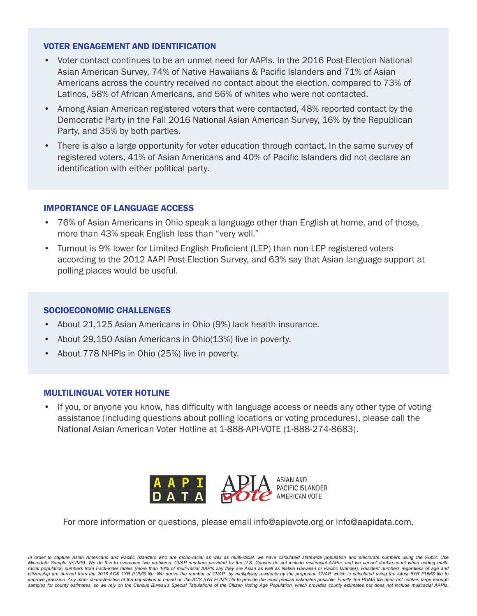- Voter contact continues to be an unmet need for AAPIs. In the 2016 Post-Election National Asian American Survey, 74% of Native Hawaiians & Pacific Islanders and 71% of Asian Americans across the country received no contact about the election, compared to 73% of Latinos, 58% of African Americans, and 56% of whites who were not contacted.
- Among Asian American registered voters that were contacted, 48% reported contact by the Democratic Party in the Fall 2016 National Asian American Survey, 16% by the Republican Party, and 35% by both parties.
- There is also a large opportunity for voter education through contact. In the same survey of registered voters, 41% of Asian Americans and 40% of Pacific Islanders did not declare an identification with either political party.

#### IMPORTANCE OF LANGUAGE ACCESS

- 76% of Asian Americans in Ohio speak a language other than English at home, and of those, more than 43% speak English less than "very well."
- Turnout is 9% lower for Limited-English Proficient (LEP) than non-LEP registered voters according to the 2012 AAPI Post-Election Survey, and 63% say that Asian language support at polling places would be useful.

#### SOCIOECONOMIC CHALLENGES

- About 21,125 Asian Americans in Ohio (9%) lack health insurance.
- About 29,150 Asian Americans in Ohio(13%) live in poverty.
- About 778 NHPIs in Ohio (25%) live in poverty.

#### MULTILINGUAL VOTER HOTLINE

• If you, or anyone you know, has difficulty with language access or needs any other type of voting assistance (including questions about polling locations or voting procedures), please call the National Asian American Voter Hotline at 1-888-API-VOTE (1-888-274-8683).



For more information or questions, please email info@apiavote.org or info@aapidata.com.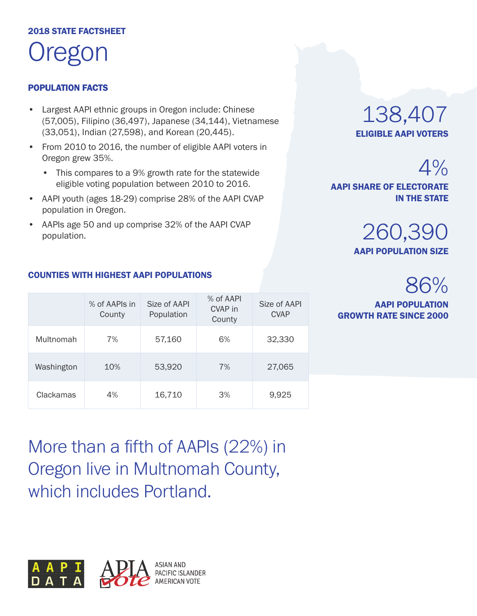### 2018 STATE FACTSHEET regon

#### POPULATION FACTS

- Largest AAPI ethnic groups in Oregon include: Chinese (57,005), Filipino (36,497), Japanese (34,144), Vietnamese (33,051), Indian (27,598), and Korean (20,445).
- From 2010 to 2016, the number of eligible AAPI voters in Oregon grew 35%.
	- This compares to a 9% growth rate for the statewide eligible voting population between 2010 to 2016.
- AAPI youth (ages 18-29) comprise 28% of the AAPI CVAP population in Oregon.
- AAPIs age 50 and up comprise 32% of the AAPI CVAP population.

### 138,407 ELIGIBLE AAPI VOTERS

IN THE STATE

AAPI SHARE OF ELECTORATE



## 86%

 $4%$ 

AAPI POPULATION GROWTH RATE SINCE 2000

|            | % of AAPIs in<br>County | Size of AAPI<br>Population | % of AAPI<br>CVAP in<br>County | Size of AAPI<br><b>CVAP</b> |
|------------|-------------------------|----------------------------|--------------------------------|-----------------------------|
| Multnomah  | 7%                      | 57,160                     | 6%                             | 32,330                      |
| Washington | 10%                     | 53,920                     | 7%                             | 27,065                      |

Clackamas 4% 16,710 3% 9,925

COUNTIES WITH HIGHEST AAPI POPULATIONS

More than a fifth of AAPIs (22%) in Oregon live in Multnomah County, which includes Portland.

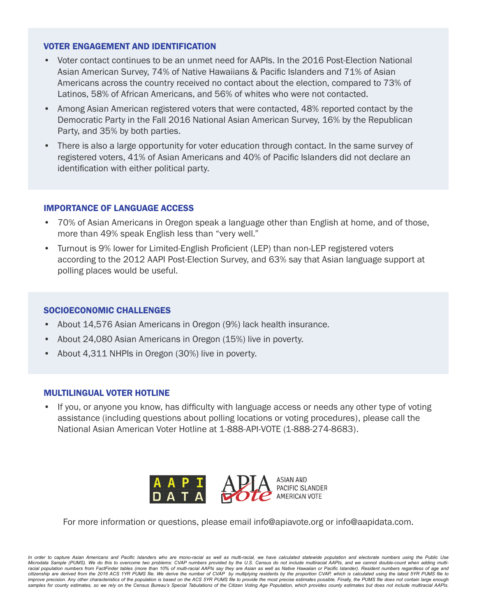- Voter contact continues to be an unmet need for AAPIs. In the 2016 Post-Election National Asian American Survey, 74% of Native Hawaiians & Pacific Islanders and 71% of Asian Americans across the country received no contact about the election, compared to 73% of Latinos, 58% of African Americans, and 56% of whites who were not contacted.
- Among Asian American registered voters that were contacted, 48% reported contact by the Democratic Party in the Fall 2016 National Asian American Survey, 16% by the Republican Party, and 35% by both parties.
- There is also a large opportunity for voter education through contact. In the same survey of registered voters, 41% of Asian Americans and 40% of Pacific Islanders did not declare an identification with either political party.

#### IMPORTANCE OF LANGUAGE ACCESS

- 70% of Asian Americans in Oregon speak a language other than English at home, and of those, more than 49% speak English less than "very well."
- Turnout is 9% lower for Limited-English Proficient (LEP) than non-LEP registered voters according to the 2012 AAPI Post-Election Survey, and 63% say that Asian language support at polling places would be useful.

#### SOCIOECONOMIC CHALLENGES

- About 14,576 Asian Americans in Oregon (9%) lack health insurance.
- About 24,080 Asian Americans in Oregon (15%) live in poverty.
- About 4,311 NHPIs in Oregon (30%) live in poverty.

#### MULTILINGUAL VOTER HOTLINE

• If you, or anyone you know, has difficulty with language access or needs any other type of voting assistance (including questions about polling locations or voting procedures), please call the National Asian American Voter Hotline at 1-888-API-VOTE (1-888-274-8683).



For more information or questions, please email info@apiavote.org or info@aapidata.com.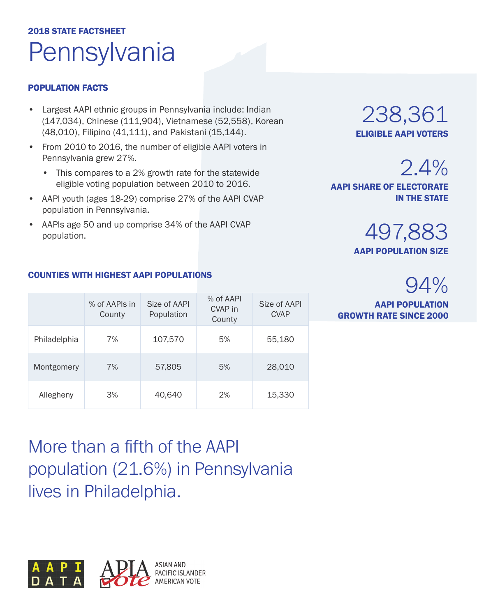## 2018 STATE FACTSHEET **Pennsylvania**

#### POPULATION FACTS

- Largest AAPI ethnic groups in Pennsylvania include: Indian (147,034), Chinese (111,904), Vietnamese (52,558), Korean (48,010), Filipino (41,111), and Pakistani (15,144).
- From 2010 to 2016, the number of eligible AAPI voters in Pennsylvania grew 27%.
	- This compares to a 2% growth rate for the statewide eligible voting population between 2010 to 2016.
- AAPI youth (ages 18-29) comprise 27% of the AAPI CVAP population in Pennsylvania.
- AAPIs age 50 and up comprise 34% of the AAPI CVAP population.

### 238,361 ELIGIBLE AAPI VOTERS

497,883 AAPI POPULATION SIZE

AAPI SHARE OF ELECTORATE

94%

2.4%

IN THE STATE

AAPI POPULATION GROWTH RATE SINCE 2000

#### COUNTIES WITH HIGHEST AAPI POPULATIONS

|              | % of AAPIs in<br>County | Size of AAPI<br>Population | % of AAPI<br>CVAP in<br>County | Size of AAPI<br><b>CVAP</b> |
|--------------|-------------------------|----------------------------|--------------------------------|-----------------------------|
| Philadelphia | 7%                      | 107,570                    | 5%                             | 55,180                      |
| Montgomery   | 7%                      | 57,805                     | 5%                             | 28,010                      |
| Allegheny    | 3%                      | 40,640                     | 2%                             | 15,330                      |

More than a fifth of the AAPI population (21.6%) in Pennsylvania lives in Philadelphia.

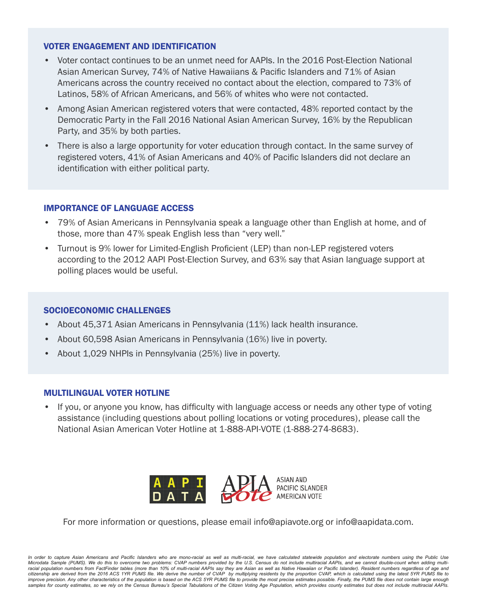- Voter contact continues to be an unmet need for AAPIs. In the 2016 Post-Election National Asian American Survey, 74% of Native Hawaiians & Pacific Islanders and 71% of Asian Americans across the country received no contact about the election, compared to 73% of Latinos, 58% of African Americans, and 56% of whites who were not contacted.
- Among Asian American registered voters that were contacted, 48% reported contact by the Democratic Party in the Fall 2016 National Asian American Survey, 16% by the Republican Party, and 35% by both parties.
- There is also a large opportunity for voter education through contact. In the same survey of registered voters, 41% of Asian Americans and 40% of Pacific Islanders did not declare an identification with either political party.

#### IMPORTANCE OF LANGUAGE ACCESS

- 79% of Asian Americans in Pennsylvania speak a language other than English at home, and of those, more than 47% speak English less than "very well."
- Turnout is 9% lower for Limited-English Proficient (LEP) than non-LEP registered voters according to the 2012 AAPI Post-Election Survey, and 63% say that Asian language support at polling places would be useful.

#### SOCIOECONOMIC CHALLENGES

- About 45,371 Asian Americans in Pennsylvania (11%) lack health insurance.
- About 60,598 Asian Americans in Pennsylvania (16%) live in poverty.
- About 1,029 NHPIs in Pennsylvania (25%) live in poverty.

#### MULTILINGUAL VOTER HOTLINE

• If you, or anyone you know, has difficulty with language access or needs any other type of voting assistance (including questions about polling locations or voting procedures), please call the National Asian American Voter Hotline at 1-888-API-VOTE (1-888-274-8683).



For more information or questions, please email info@apiavote.org or info@aapidata.com.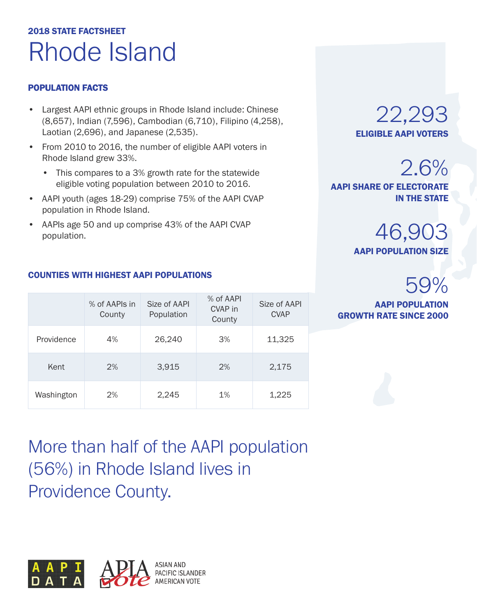## 2018 STATE FACTSHEET Rhode Island

#### POPULATION FACTS

- Largest AAPI ethnic groups in Rhode Island include: Chinese (8,657), Indian (7,596), Cambodian (6,710), Filipino (4,258), Laotian (2,696), and Japanese (2,535).
- From 2010 to 2016, the number of eligible AAPI voters in Rhode Island grew 33%.
	- This compares to a 3% growth rate for the statewide eligible voting population between 2010 to 2016.
- AAPI youth (ages 18-29) comprise 75% of the AAPI CVAP population in Rhode Island.
- AAPIs age 50 and up comprise 43% of the AAPI CVAP population.

#### COUNTIES WITH HIGHEST AAPI POPULATIONS

|            | % of AAPIs in<br>County | Size of AAPI<br>Population | % of AAPI<br>CVAP in<br>County | Size of AAPI<br><b>CVAP</b> |
|------------|-------------------------|----------------------------|--------------------------------|-----------------------------|
| Providence | 4%                      | 26,240                     | 3%                             | 11,325                      |
| Kent       | 2%                      | 3,915                      | 2%                             | 2,175                       |
| Washington | 2%                      | 2,245                      | 1%                             | 1,225                       |

22,293 ELIGIBLE AAPI VOTERS

2.6% AAPI SHARE OF ELECTORATE IN THE STATE

> 46,903 AAPI POPULATION SIZE

## 59%

AAPI POPULATION GROWTH RATE SINCE 2000

More than half of the AAPI population (56%) in Rhode Island lives in Providence County.

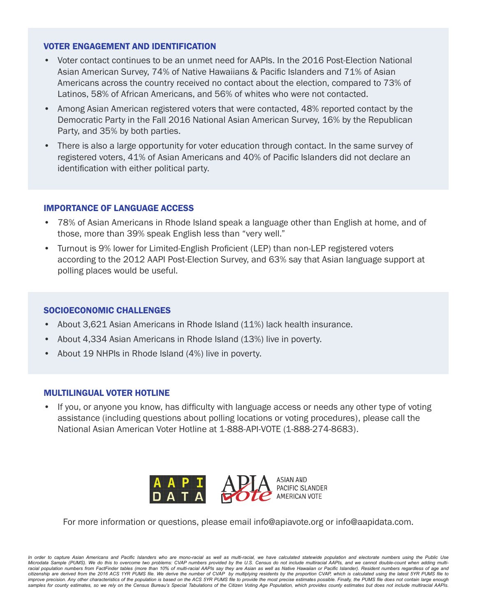- Voter contact continues to be an unmet need for AAPIs. In the 2016 Post-Election National Asian American Survey, 74% of Native Hawaiians & Pacific Islanders and 71% of Asian Americans across the country received no contact about the election, compared to 73% of Latinos, 58% of African Americans, and 56% of whites who were not contacted.
- Among Asian American registered voters that were contacted, 48% reported contact by the Democratic Party in the Fall 2016 National Asian American Survey, 16% by the Republican Party, and 35% by both parties.
- There is also a large opportunity for voter education through contact. In the same survey of registered voters, 41% of Asian Americans and 40% of Pacific Islanders did not declare an identification with either political party.

#### IMPORTANCE OF LANGUAGE ACCESS

- 78% of Asian Americans in Rhode Island speak a language other than English at home, and of those, more than 39% speak English less than "very well."
- Turnout is 9% lower for Limited-English Proficient (LEP) than non-LEP registered voters according to the 2012 AAPI Post-Election Survey, and 63% say that Asian language support at polling places would be useful.

#### SOCIOECONOMIC CHALLENGES

- About 3,621 Asian Americans in Rhode Island (11%) lack health insurance.
- About 4,334 Asian Americans in Rhode Island (13%) live in poverty.
- About 19 NHPIs in Rhode Island (4%) live in poverty.

#### MULTILINGUAL VOTER HOTLINE

• If you, or anyone you know, has difficulty with language access or needs any other type of voting assistance (including questions about polling locations or voting procedures), please call the National Asian American Voter Hotline at 1-888-API-VOTE (1-888-274-8683).



For more information or questions, please email info@apiavote.org or info@aapidata.com.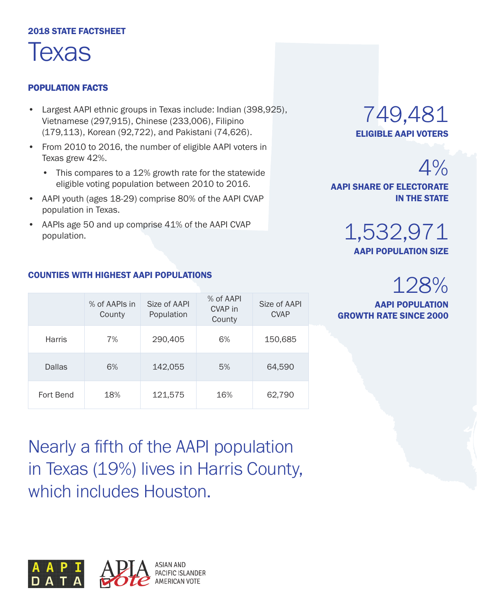#### 2018 STATE FACTSHEET



#### POPULATION FACTS

- Largest AAPI ethnic groups in Texas include: Indian (398,925), Vietnamese (297,915), Chinese (233,006), Filipino (179,113), Korean (92,722), and Pakistani (74,626).
- From 2010 to 2016, the number of eligible AAPI voters in Texas grew 42%.
	- This compares to a 12% growth rate for the statewide eligible voting population between 2010 to 2016.
- AAPI youth (ages 18-29) comprise 80% of the AAPI CVAP population in Texas.
- AAPIs age 50 and up comprise 41% of the AAPI CVAP population.

### 749,481 ELIGIBLE AAPI VOTERS

 $4%$ 

AAPI SHARE OF ELECTORATE IN THE STATE

> 1,532,971 AAPI POPULATION SIZE

## 128%

AAPI POPULATION GROWTH RATE SINCE 2000

|               | % of AAPIs in<br>County | Size of AAPI<br>Population | % of AAPI<br>CVAP in<br>County | Size of AAPI<br><b>CVAP</b> |
|---------------|-------------------------|----------------------------|--------------------------------|-----------------------------|
| <b>Harris</b> | 7%                      | 290,405                    | 6%                             | 150,685                     |
| Dallas        | 6%                      | 142,055                    | 5%                             | 64,590                      |
|               |                         |                            |                                |                             |

Fort Bend 18% 121,575 16% 62,790

COUNTIES WITH HIGHEST AAPI POPULATIONS

Nearly a fifth of the AAPI population in Texas (19%) lives in Harris County, which includes Houston.

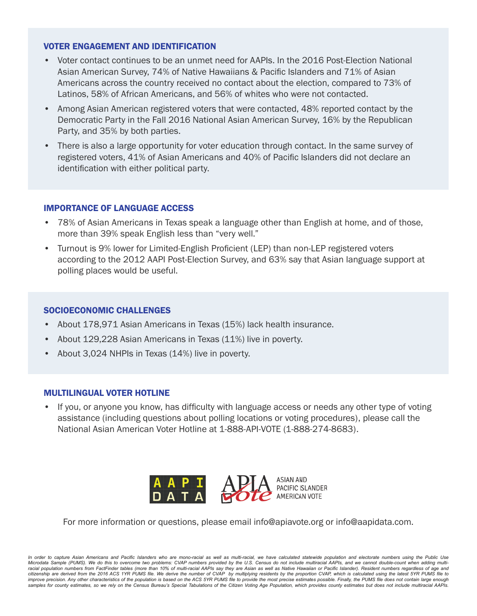- Voter contact continues to be an unmet need for AAPIs. In the 2016 Post-Election National Asian American Survey, 74% of Native Hawaiians & Pacific Islanders and 71% of Asian Americans across the country received no contact about the election, compared to 73% of Latinos, 58% of African Americans, and 56% of whites who were not contacted.
- Among Asian American registered voters that were contacted, 48% reported contact by the Democratic Party in the Fall 2016 National Asian American Survey, 16% by the Republican Party, and 35% by both parties.
- There is also a large opportunity for voter education through contact. In the same survey of registered voters, 41% of Asian Americans and 40% of Pacific Islanders did not declare an identification with either political party.

#### IMPORTANCE OF LANGUAGE ACCESS

- 78% of Asian Americans in Texas speak a language other than English at home, and of those, more than 39% speak English less than "very well."
- Turnout is 9% lower for Limited-English Proficient (LEP) than non-LEP registered voters according to the 2012 AAPI Post-Election Survey, and 63% say that Asian language support at polling places would be useful.

#### SOCIOECONOMIC CHALLENGES

- About 178,971 Asian Americans in Texas (15%) lack health insurance.
- About 129,228 Asian Americans in Texas (11%) live in poverty.
- About 3,024 NHPIs in Texas (14%) live in poverty.

#### MULTILINGUAL VOTER HOTLINE

• If you, or anyone you know, has difficulty with language access or needs any other type of voting assistance (including questions about polling locations or voting procedures), please call the National Asian American Voter Hotline at 1-888-API-VOTE (1-888-274-8683).



For more information or questions, please email info@apiavote.org or info@aapidata.com.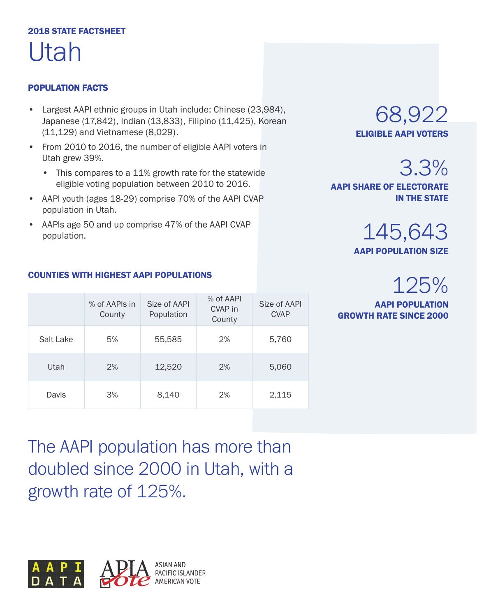### 2018 STATE FACTSHEET Utah

#### POPULATION FACTS

- Largest AAPI ethnic groups in Utah include: Chinese (23,984), Japanese (17,842), Indian (13,833), Filipino (11,425), Korean (11,129) and Vietnamese (8,029).
- From 2010 to 2016, the number of eligible AAPI voters in Utah grew 39%.
	- This compares to a 11% growth rate for the statewide eligible voting population between 2010 to 2016.
- AAPI youth (ages 18-29) comprise 70% of the AAPI CVAP population in Utah.
- AAPIs age 50 and up comprise 47% of the AAPI CVAP population.

68,922 ELIGIBLE AAPI VOTERS

3.3%

AAPI SHARE OF ELECTORATE IN THE STATE

> 145,643 AAPI POPULATION SIZE

## 125%

AAPI POPULATION GROWTH RATE SINCE 2000

#### COUNTIES WITH HIGHEST AAPI POPULATIONS

|           | % of AAPIs in<br>County | Size of AAPI<br>Population | % of AAPI<br>CVAP in<br>County | Size of AAPI<br><b>CVAP</b> |
|-----------|-------------------------|----------------------------|--------------------------------|-----------------------------|
| Salt Lake | 5%                      | 55,585                     | 2%                             | 5,760                       |
| Utah      | 2%                      | 12,520                     | 2%                             | 5,060                       |
| Davis     | 3%                      | 8,140                      | 2%                             | 2,115                       |

The AAPI population has more than doubled since 2000 in Utah, with a growth rate of 125%.

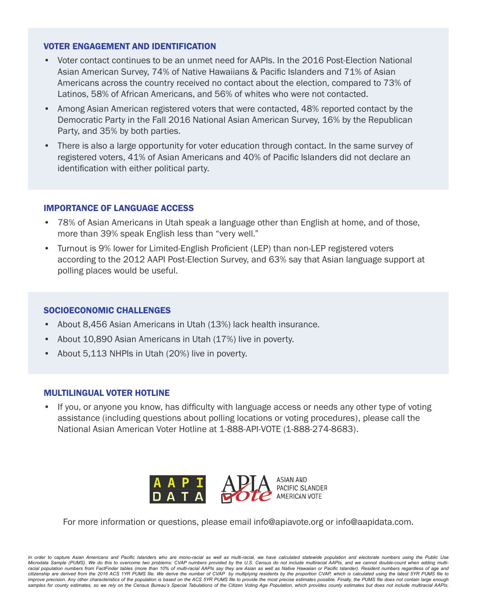- Voter contact continues to be an unmet need for AAPIs. In the 2016 Post-Election National Asian American Survey, 74% of Native Hawaiians & Pacific Islanders and 71% of Asian Americans across the country received no contact about the election, compared to 73% of Latinos, 58% of African Americans, and 56% of whites who were not contacted.
- Among Asian American registered voters that were contacted, 48% reported contact by the Democratic Party in the Fall 2016 National Asian American Survey, 16% by the Republican Party, and 35% by both parties.
- There is also a large opportunity for voter education through contact. In the same survey of registered voters, 41% of Asian Americans and 40% of Pacific Islanders did not declare an identification with either political party.

#### IMPORTANCE OF LANGUAGE ACCESS

- 78% of Asian Americans in Utah speak a language other than English at home, and of those, more than 39% speak English less than "very well."
- Turnout is 9% lower for Limited-English Proficient (LEP) than non-LEP registered voters according to the 2012 AAPI Post-Election Survey, and 63% say that Asian language support at polling places would be useful.

#### SOCIOECONOMIC CHALLENGES

- About 8,456 Asian Americans in Utah (13%) lack health insurance.
- About 10,890 Asian Americans in Utah (17%) live in poverty.
- About 5,113 NHPIs in Utah (20%) live in poverty.

#### MULTILINGUAL VOTER HOTLINE

• If you, or anyone you know, has difficulty with language access or needs any other type of voting assistance (including questions about polling locations or voting procedures), please call the National Asian American Voter Hotline at 1-888-API-VOTE (1-888-274-8683).



For more information or questions, please email info@apiavote.org or info@aapidata.com.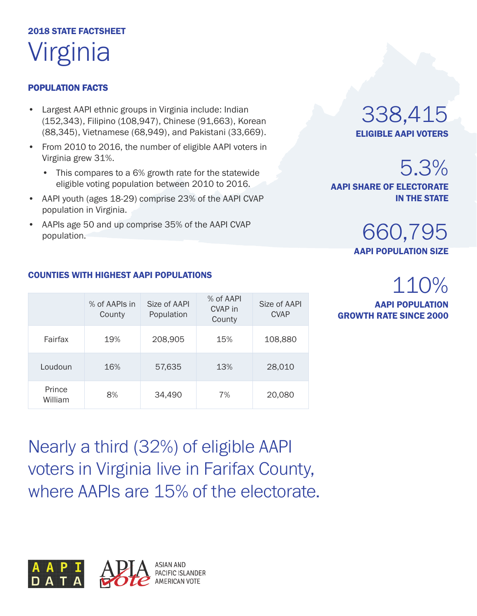## 2018 STATE FACTSHEET Virginia

#### POPULATION FACTS

- Largest AAPI ethnic groups in Virginia include: Indian (152,343), Filipino (108,947), Chinese (91,663), Korean (88,345), Vietnamese (68,949), and Pakistani (33,669).
- From 2010 to 2016, the number of eligible AAPI voters in Virginia grew 31%.
	- This compares to a 6% growth rate for the statewide eligible voting population between 2010 to 2016.
- AAPI youth (ages 18-29) comprise 23% of the AAPI CVAP population in Virginia.
- AAPIs age 50 and up comprise 35% of the AAPI CVAP population.

### 338,415 ELIGIBLE AAPI VOTERS

## 5.3%

AAPI SHARE OF ELECTORATE IN THE STATE

### 660,795 AAPI POPULATION SIZE

## 110%

AAPI POPULATION GROWTH RATE SINCE 2000

|                   | % of AAPIs in<br>County | Size of AAPI<br>Population | % of AAPI<br>CVAP in<br>County | Size of AAPI<br><b>CVAP</b> |
|-------------------|-------------------------|----------------------------|--------------------------------|-----------------------------|
| Fairfax           | 19%                     | 208,905                    | 15%                            | 108,880                     |
| Loudoun           | 16%                     | 57,635                     | 13%                            | 28,010                      |
| Prince<br>William | 8%                      | 34,490                     | 7%                             | 20,080                      |

Nearly a third (32%) of eligible AAPI voters in Virginia live in Farifax County, where AAPIs are 15% of the electorate.



#### COUNTIES WITH HIGHEST AAPI POPULATIONS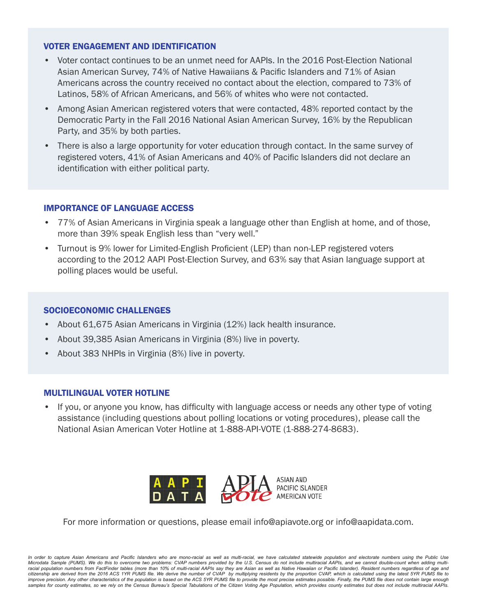- Voter contact continues to be an unmet need for AAPIs. In the 2016 Post-Election National Asian American Survey, 74% of Native Hawaiians & Pacific Islanders and 71% of Asian Americans across the country received no contact about the election, compared to 73% of Latinos, 58% of African Americans, and 56% of whites who were not contacted.
- Among Asian American registered voters that were contacted, 48% reported contact by the Democratic Party in the Fall 2016 National Asian American Survey, 16% by the Republican Party, and 35% by both parties.
- There is also a large opportunity for voter education through contact. In the same survey of registered voters, 41% of Asian Americans and 40% of Pacific Islanders did not declare an identification with either political party.

#### IMPORTANCE OF LANGUAGE ACCESS

- 77% of Asian Americans in Virginia speak a language other than English at home, and of those, more than 39% speak English less than "very well."
- Turnout is 9% lower for Limited-English Proficient (LEP) than non-LEP registered voters according to the 2012 AAPI Post-Election Survey, and 63% say that Asian language support at polling places would be useful.

#### SOCIOECONOMIC CHALLENGES

- About 61,675 Asian Americans in Virginia (12%) lack health insurance.
- About 39,385 Asian Americans in Virginia (8%) live in poverty.
- About 383 NHPIs in Virginia (8%) live in poverty.

#### MULTILINGUAL VOTER HOTLINE

• If you, or anyone you know, has difficulty with language access or needs any other type of voting assistance (including questions about polling locations or voting procedures), please call the National Asian American Voter Hotline at 1-888-API-VOTE (1-888-274-8683).



For more information or questions, please email info@apiavote.org or info@aapidata.com.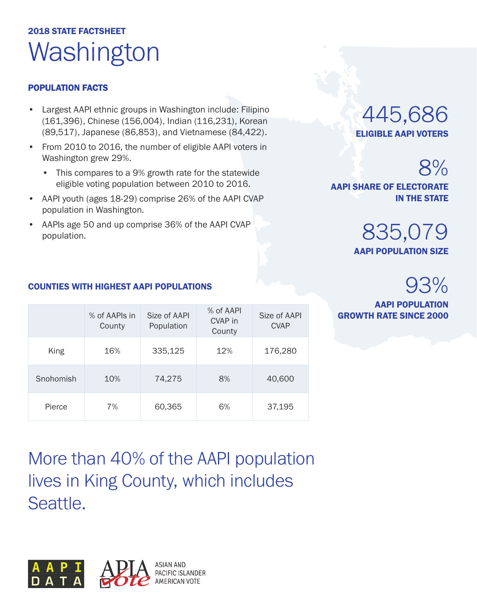## 2018 STATE FACTSHEET Washington

#### POPULATION FACTS

- Largest AAPI ethnic groups in Washington include: Filipino (161,396), Chinese (156,004), Indian (116,231), Korean (89,517), Japanese (86,853), and Vietnamese (84,422).
- From 2010 to 2016, the number of eligible AAPI voters in Washington grew 29%.
	- This compares to a 9% growth rate for the statewide eligible voting population between 2010 to 2016.
- AAPI youth (ages 18-29) comprise 26% of the AAPI CVAP population in Washington.
- AAPIs age 50 and up comprise 36% of the AAPI CVAP population.

COUNTIES WITH HIGHEST AAPI POPULATIONS

### 445,686 ELIGIBLE AAPI VOTERS

8%

AAPI SHARE OF ELECTORATE IN THE STATE

> 835,079 AAPI POPULATION SIZE

## 93%

AAPI POPULATION

#### % of AAPIs in Size of AAPI  $\frac{1}{2}$  and  $\frac{1}{2}$  Size of AAPI **GROWTH RATE SINCE 2000 County** Size of AAPI Population % of AAPI CVAP in County Size of AAPI CVAP King 16% 335,125 12% 176,280 Snohomish 10% 74,275 8% 40,600 Pierce 7% 60,365 6% 37,195

More than 40% of the AAPI population lives in King County, which includes Seattle.

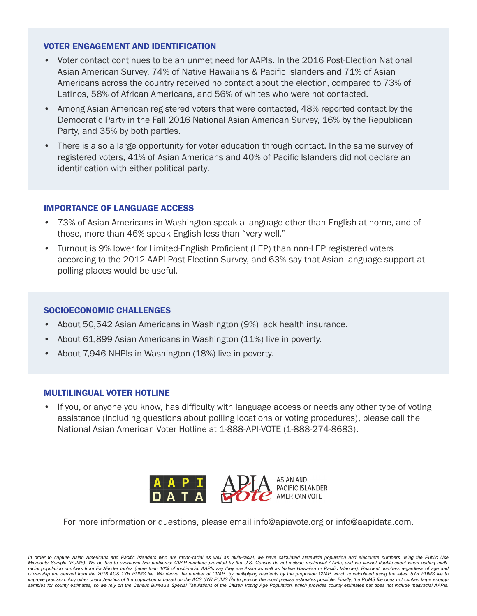- Voter contact continues to be an unmet need for AAPIs. In the 2016 Post-Election National Asian American Survey, 74% of Native Hawaiians & Pacific Islanders and 71% of Asian Americans across the country received no contact about the election, compared to 73% of Latinos, 58% of African Americans, and 56% of whites who were not contacted.
- Among Asian American registered voters that were contacted, 48% reported contact by the Democratic Party in the Fall 2016 National Asian American Survey, 16% by the Republican Party, and 35% by both parties.
- There is also a large opportunity for voter education through contact. In the same survey of registered voters, 41% of Asian Americans and 40% of Pacific Islanders did not declare an identification with either political party.

#### IMPORTANCE OF LANGUAGE ACCESS

- 73% of Asian Americans in Washington speak a language other than English at home, and of those, more than 46% speak English less than "very well."
- Turnout is 9% lower for Limited-English Proficient (LEP) than non-LEP registered voters according to the 2012 AAPI Post-Election Survey, and 63% say that Asian language support at polling places would be useful.

#### SOCIOECONOMIC CHALLENGES

- About 50,542 Asian Americans in Washington (9%) lack health insurance.
- About 61,899 Asian Americans in Washington (11%) live in poverty.
- About 7,946 NHPIs in Washington (18%) live in poverty.

#### MULTILINGUAL VOTER HOTLINE

• If you, or anyone you know, has difficulty with language access or needs any other type of voting assistance (including questions about polling locations or voting procedures), please call the National Asian American Voter Hotline at 1-888-API-VOTE (1-888-274-8683).



For more information or questions, please email info@apiavote.org or info@aapidata.com.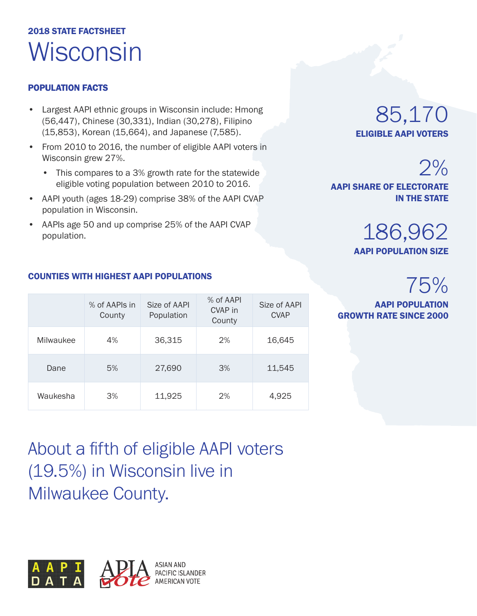## 2018 STATE FACTSHEET Wisconsin

#### POPULATION FACTS

- Largest AAPI ethnic groups in Wisconsin include: Hmong (56,447), Chinese (30,331), Indian (30,278), Filipino (15,853), Korean (15,664), and Japanese (7,585).
- From 2010 to 2016, the number of eligible AAPI voters in Wisconsin grew 27%.
	- This compares to a 3% growth rate for the statewide eligible voting population between 2010 to 2016.
- AAPI youth (ages 18-29) comprise 38% of the AAPI CVAP population in Wisconsin.
- AAPIs age 50 and up comprise 25% of the AAPI CVAP population.

### 85,170 ELIGIBLE AAPI VOTERS

AAPI POPULATION SIZE

186,962

AAPI SHARE OF ELECTORATE

## 75%

 $2%$ 

IN THE STATE

AAPI POPULATION GROWTH RATE SINCE 2000

|           | % of AAPIs in<br>County | Size of AAPI<br>Population | % of AAPI<br>CVAP in<br>County | Size of AAPI<br><b>CVAP</b> |
|-----------|-------------------------|----------------------------|--------------------------------|-----------------------------|
| Milwaukee | 4%                      | 36,315                     | 2%                             | 16,645                      |
| Dane      | 5%                      | 27,690                     | 3%                             | 11,545                      |

Waukesha 3% 11,925 2% 4,925

#### COUNTIES WITH HIGHEST AAPI POPULATIONS

About a fifth of eligible AAPI voters (19.5%) in Wisconsin live in Milwaukee County.